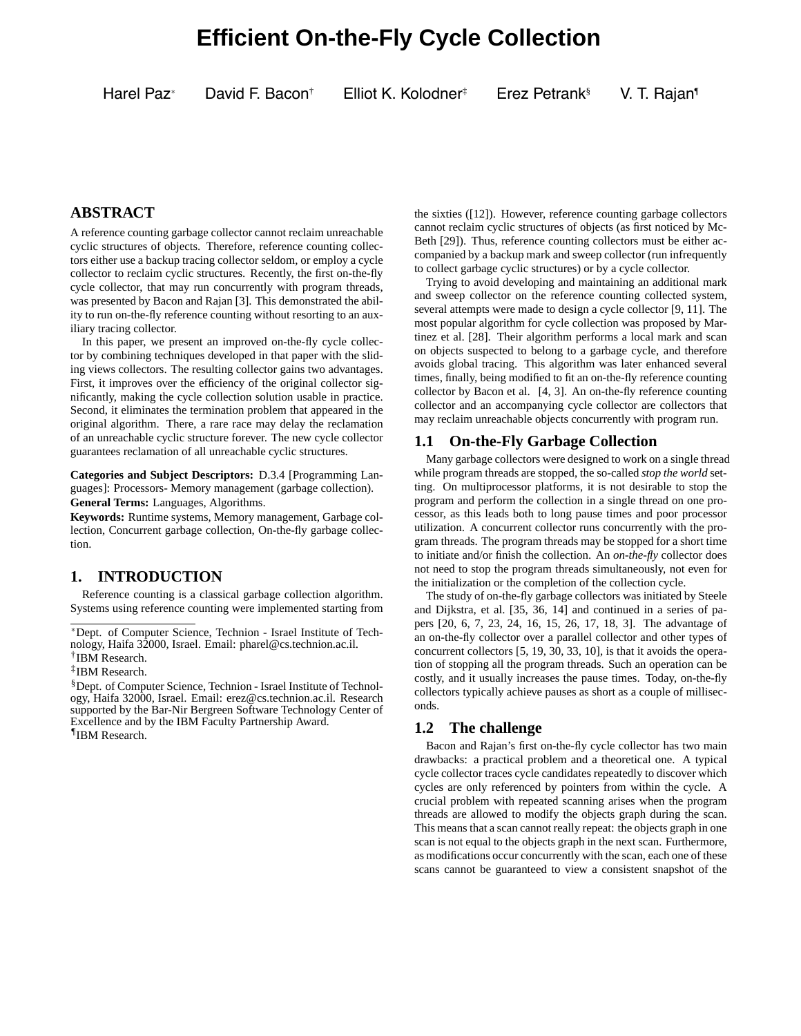# **Efficient On-the-Fly Cycle Collection**

Harel Paz<sup>∗</sup> David F. Bacon† Elliot K. Kolodner‡ Erez Petrank§ V. T. Rajan¶

# **ABSTRACT**

A reference counting garbage collector cannot reclaim unreachable cyclic structures of objects. Therefore, reference counting collectors either use a backup tracing collector seldom, or employ a cycle collector to reclaim cyclic structures. Recently, the first on-the-fly cycle collector, that may run concurrently with program threads, was presented by Bacon and Rajan [3]. This demonstrated the ability to run on-the-fly reference counting without resorting to an auxiliary tracing collector.

In this paper, we present an improved on-the-fly cycle collector by combining techniques developed in that paper with the sliding views collectors. The resulting collector gains two advantages. First, it improves over the efficiency of the original collector significantly, making the cycle collection solution usable in practice. Second, it eliminates the termination problem that appeared in the original algorithm. There, a rare race may delay the reclamation of an unreachable cyclic structure forever. The new cycle collector guarantees reclamation of all unreachable cyclic structures.

**Categories and Subject Descriptors:** D.3.4 [Programming Languages]: Processors- Memory management (garbage collection). **General Terms:** Languages, Algorithms.

**Keywords:** Runtime systems, Memory management, Garbage collection, Concurrent garbage collection, On-the-fly garbage collection.

# **1. INTRODUCTION**

Reference counting is a classical garbage collection algorithm. Systems using reference counting were implemented starting from

¶IBM Research.

the sixties ([12]). However, reference counting garbage collectors cannot reclaim cyclic structures of objects (as first noticed by Mc-Beth [29]). Thus, reference counting collectors must be either accompanied by a backup mark and sweep collector (run infrequently to collect garbage cyclic structures) or by a cycle collector.

Trying to avoid developing and maintaining an additional mark and sweep collector on the reference counting collected system, several attempts were made to design a cycle collector [9, 11]. The most popular algorithm for cycle collection was proposed by Martinez et al. [28]. Their algorithm performs a local mark and scan on objects suspected to belong to a garbage cycle, and therefore avoids global tracing. This algorithm was later enhanced several times, finally, being modified to fit an on-the-fly reference counting collector by Bacon et al. [4, 3]. An on-the-fly reference counting collector and an accompanying cycle collector are collectors that may reclaim unreachable objects concurrently with program run.

# **1.1 On-the-Fly Garbage Collection**

Many garbage collectors were designed to work on a single thread while program threads are stopped, the so-called *stop the world* setting. On multiprocessor platforms, it is not desirable to stop the program and perform the collection in a single thread on one processor, as this leads both to long pause times and poor processor utilization. A concurrent collector runs concurrently with the program threads. The program threads may be stopped for a short time to initiate and/or finish the collection. An *on-the-fly* collector does not need to stop the program threads simultaneously, not even for the initialization or the completion of the collection cycle.

The study of on-the-fly garbage collectors was initiated by Steele and Dijkstra, et al. [35, 36, 14] and continued in a series of papers [20, 6, 7, 23, 24, 16, 15, 26, 17, 18, 3]. The advantage of an on-the-fly collector over a parallel collector and other types of concurrent collectors [5, 19, 30, 33, 10], is that it avoids the operation of stopping all the program threads. Such an operation can be costly, and it usually increases the pause times. Today, on-the-fly collectors typically achieve pauses as short as a couple of milliseconds.

# **1.2 The challenge**

Bacon and Rajan's first on-the-fly cycle collector has two main drawbacks: a practical problem and a theoretical one. A typical cycle collector traces cycle candidates repeatedly to discover which cycles are only referenced by pointers from within the cycle. A crucial problem with repeated scanning arises when the program threads are allowed to modify the objects graph during the scan. This means that a scan cannot really repeat: the objects graph in one scan is not equal to the objects graph in the next scan. Furthermore, as modifications occur concurrently with the scan, each one of these scans cannot be guaranteed to view a consistent snapshot of the

<sup>∗</sup>Dept. of Computer Science, Technion - Israel Institute of Technology, Haifa 32000, Israel. Email: pharel@cs.technion.ac.il.

<sup>†</sup>IBM Research. ‡IBM Research.

<sup>§</sup>Dept. of Computer Science, Technion - Israel Institute of Technology, Haifa 32000, Israel. Email: erez@cs.technion.ac.il. Research supported by the Bar-Nir Bergreen Software Technology Center of Excellence and by the IBM Faculty Partnership Award.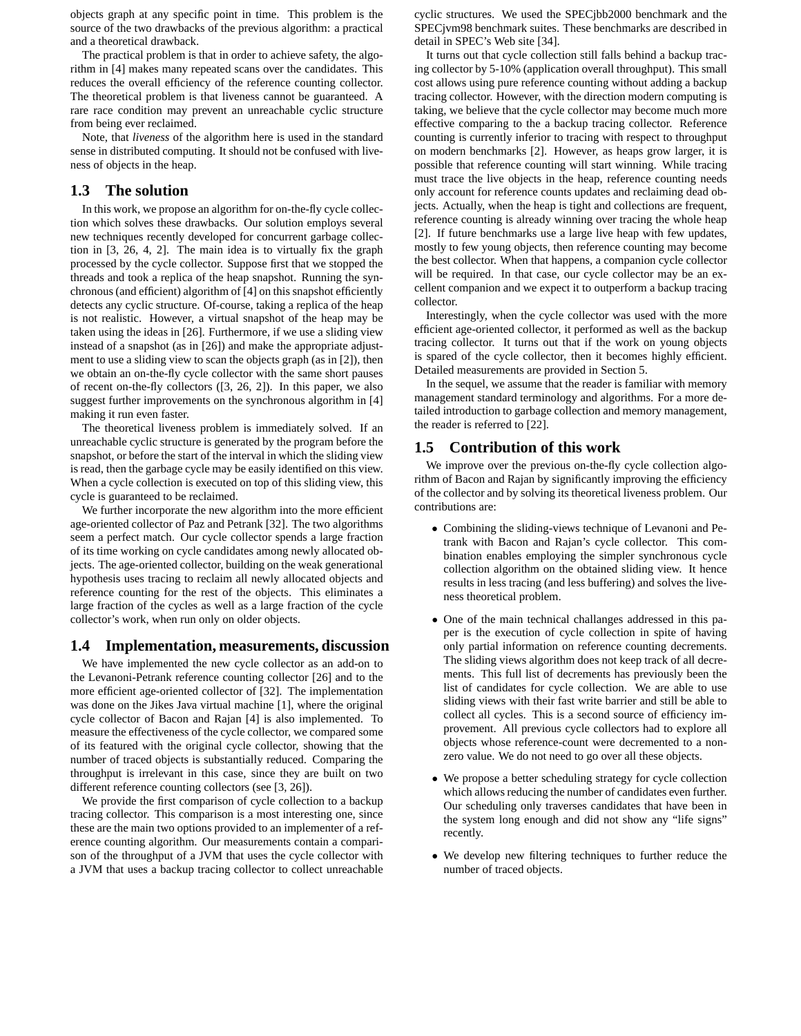objects graph at any specific point in time. This problem is the source of the two drawbacks of the previous algorithm: a practical and a theoretical drawback.

The practical problem is that in order to achieve safety, the algorithm in [4] makes many repeated scans over the candidates. This reduces the overall efficiency of the reference counting collector. The theoretical problem is that liveness cannot be guaranteed. A rare race condition may prevent an unreachable cyclic structure from being ever reclaimed.

Note, that *liveness* of the algorithm here is used in the standard sense in distributed computing. It should not be confused with liveness of objects in the heap.

# **1.3 The solution**

In this work, we propose an algorithm for on-the-fly cycle collection which solves these drawbacks. Our solution employs several new techniques recently developed for concurrent garbage collection in [3, 26, 4, 2]. The main idea is to virtually fix the graph processed by the cycle collector. Suppose first that we stopped the threads and took a replica of the heap snapshot. Running the synchronous (and efficient) algorithm of [4] on this snapshot efficiently detects any cyclic structure. Of-course, taking a replica of the heap is not realistic. However, a virtual snapshot of the heap may be taken using the ideas in [26]. Furthermore, if we use a sliding view instead of a snapshot (as in [26]) and make the appropriate adjustment to use a sliding view to scan the objects graph (as in [2]), then we obtain an on-the-fly cycle collector with the same short pauses of recent on-the-fly collectors ([3, 26, 2]). In this paper, we also suggest further improvements on the synchronous algorithm in [4] making it run even faster.

The theoretical liveness problem is immediately solved. If an unreachable cyclic structure is generated by the program before the snapshot, or before the start of the interval in which the sliding view is read, then the garbage cycle may be easily identified on this view. When a cycle collection is executed on top of this sliding view, this cycle is guaranteed to be reclaimed.

We further incorporate the new algorithm into the more efficient age-oriented collector of Paz and Petrank [32]. The two algorithms seem a perfect match. Our cycle collector spends a large fraction of its time working on cycle candidates among newly allocated objects. The age-oriented collector, building on the weak generational hypothesis uses tracing to reclaim all newly allocated objects and reference counting for the rest of the objects. This eliminates a large fraction of the cycles as well as a large fraction of the cycle collector's work, when run only on older objects.

# **1.4 Implementation, measurements, discussion**

We have implemented the new cycle collector as an add-on to the Levanoni-Petrank reference counting collector [26] and to the more efficient age-oriented collector of [32]. The implementation was done on the Jikes Java virtual machine [1], where the original cycle collector of Bacon and Rajan [4] is also implemented. To measure the effectiveness of the cycle collector, we compared some of its featured with the original cycle collector, showing that the number of traced objects is substantially reduced. Comparing the throughput is irrelevant in this case, since they are built on two different reference counting collectors (see [3, 26]).

We provide the first comparison of cycle collection to a backup tracing collector. This comparison is a most interesting one, since these are the main two options provided to an implementer of a reference counting algorithm. Our measurements contain a comparison of the throughput of a JVM that uses the cycle collector with a JVM that uses a backup tracing collector to collect unreachable cyclic structures. We used the SPECjbb2000 benchmark and the SPECjvm98 benchmark suites. These benchmarks are described in detail in SPEC's Web site [34].

It turns out that cycle collection still falls behind a backup tracing collector by 5-10% (application overall throughput). This small cost allows using pure reference counting without adding a backup tracing collector. However, with the direction modern computing is taking, we believe that the cycle collector may become much more effective comparing to the a backup tracing collector. Reference counting is currently inferior to tracing with respect to throughput on modern benchmarks [2]. However, as heaps grow larger, it is possible that reference counting will start winning. While tracing must trace the live objects in the heap, reference counting needs only account for reference counts updates and reclaiming dead objects. Actually, when the heap is tight and collections are frequent, reference counting is already winning over tracing the whole heap [2]. If future benchmarks use a large live heap with few updates, mostly to few young objects, then reference counting may become the best collector. When that happens, a companion cycle collector will be required. In that case, our cycle collector may be an excellent companion and we expect it to outperform a backup tracing collector.

Interestingly, when the cycle collector was used with the more efficient age-oriented collector, it performed as well as the backup tracing collector. It turns out that if the work on young objects is spared of the cycle collector, then it becomes highly efficient. Detailed measurements are provided in Section 5.

In the sequel, we assume that the reader is familiar with memory management standard terminology and algorithms. For a more detailed introduction to garbage collection and memory management, the reader is referred to [22].

# **1.5 Contribution of this work**

We improve over the previous on-the-fly cycle collection algorithm of Bacon and Rajan by significantly improving the efficiency of the collector and by solving its theoretical liveness problem. Our contributions are:

- Combining the sliding-views technique of Levanoni and Petrank with Bacon and Rajan's cycle collector. This combination enables employing the simpler synchronous cycle collection algorithm on the obtained sliding view. It hence results in less tracing (and less buffering) and solves the liveness theoretical problem.
- One of the main technical challanges addressed in this paper is the execution of cycle collection in spite of having only partial information on reference counting decrements. The sliding views algorithm does not keep track of all decrements. This full list of decrements has previously been the list of candidates for cycle collection. We are able to use sliding views with their fast write barrier and still be able to collect all cycles. This is a second source of efficiency improvement. All previous cycle collectors had to explore all objects whose reference-count were decremented to a nonzero value. We do not need to go over all these objects.
- We propose a better scheduling strategy for cycle collection which allows reducing the number of candidates even further. Our scheduling only traverses candidates that have been in the system long enough and did not show any "life signs" recently.
- We develop new filtering techniques to further reduce the number of traced objects.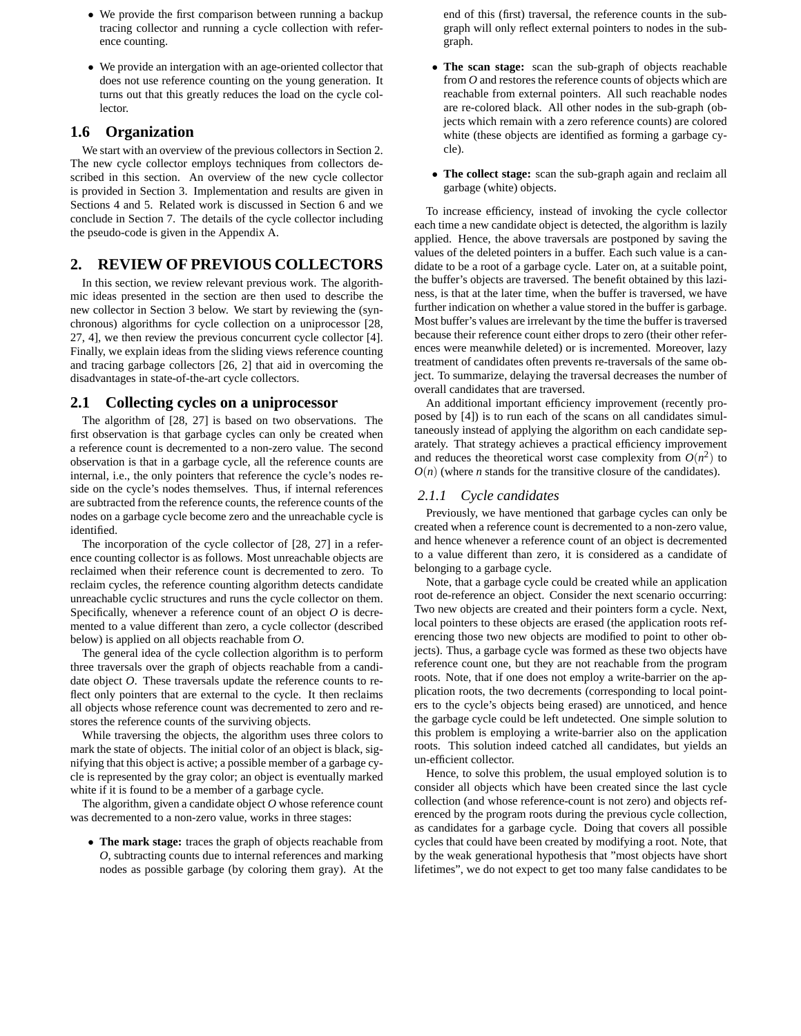- We provide the first comparison between running a backup tracing collector and running a cycle collection with reference counting.
- We provide an intergation with an age-oriented collector that does not use reference counting on the young generation. It turns out that this greatly reduces the load on the cycle collector.

# **1.6 Organization**

We start with an overview of the previous collectors in Section 2. The new cycle collector employs techniques from collectors described in this section. An overview of the new cycle collector is provided in Section 3. Implementation and results are given in Sections 4 and 5. Related work is discussed in Section 6 and we conclude in Section 7. The details of the cycle collector including the pseudo-code is given in the Appendix A.

# **2. REVIEW OF PREVIOUS COLLECTORS**

In this section, we review relevant previous work. The algorithmic ideas presented in the section are then used to describe the new collector in Section 3 below. We start by reviewing the (synchronous) algorithms for cycle collection on a uniprocessor [28, 27, 4], we then review the previous concurrent cycle collector [4]. Finally, we explain ideas from the sliding views reference counting and tracing garbage collectors [26, 2] that aid in overcoming the disadvantages in state-of-the-art cycle collectors.

# **2.1 Collecting cycles on a uniprocessor**

The algorithm of [28, 27] is based on two observations. The first observation is that garbage cycles can only be created when a reference count is decremented to a non-zero value. The second observation is that in a garbage cycle, all the reference counts are internal, i.e., the only pointers that reference the cycle's nodes reside on the cycle's nodes themselves. Thus, if internal references are subtracted from the reference counts, the reference counts of the nodes on a garbage cycle become zero and the unreachable cycle is identified.

The incorporation of the cycle collector of [28, 27] in a reference counting collector is as follows. Most unreachable objects are reclaimed when their reference count is decremented to zero. To reclaim cycles, the reference counting algorithm detects candidate unreachable cyclic structures and runs the cycle collector on them. Specifically, whenever a reference count of an object *O* is decremented to a value different than zero, a cycle collector (described below) is applied on all objects reachable from *O*.

The general idea of the cycle collection algorithm is to perform three traversals over the graph of objects reachable from a candidate object *O*. These traversals update the reference counts to reflect only pointers that are external to the cycle. It then reclaims all objects whose reference count was decremented to zero and restores the reference counts of the surviving objects.

While traversing the objects, the algorithm uses three colors to mark the state of objects. The initial color of an object is black, signifying that this object is active; a possible member of a garbage cycle is represented by the gray color; an object is eventually marked white if it is found to be a member of a garbage cycle.

The algorithm, given a candidate object *O* whose reference count was decremented to a non-zero value, works in three stages:

• **The mark stage:** traces the graph of objects reachable from *O*, subtracting counts due to internal references and marking nodes as possible garbage (by coloring them gray). At the end of this (first) traversal, the reference counts in the subgraph will only reflect external pointers to nodes in the subgraph.

- **The scan stage:** scan the sub-graph of objects reachable from *O* and restores the reference counts of objects which are reachable from external pointers. All such reachable nodes are re-colored black. All other nodes in the sub-graph (objects which remain with a zero reference counts) are colored white (these objects are identified as forming a garbage cycle).
- **The collect stage:** scan the sub-graph again and reclaim all garbage (white) objects.

To increase efficiency, instead of invoking the cycle collector each time a new candidate object is detected, the algorithm is lazily applied. Hence, the above traversals are postponed by saving the values of the deleted pointers in a buffer. Each such value is a candidate to be a root of a garbage cycle. Later on, at a suitable point, the buffer's objects are traversed. The benefit obtained by this laziness, is that at the later time, when the buffer is traversed, we have further indication on whether a value stored in the buffer is garbage. Most buffer's values are irrelevant by the time the buffer is traversed because their reference count either drops to zero (their other references were meanwhile deleted) or is incremented. Moreover, lazy treatment of candidates often prevents re-traversals of the same object. To summarize, delaying the traversal decreases the number of overall candidates that are traversed.

An additional important efficiency improvement (recently proposed by [4]) is to run each of the scans on all candidates simultaneously instead of applying the algorithm on each candidate separately. That strategy achieves a practical efficiency improvement and reduces the theoretical worst case complexity from  $O(n^2)$  to  $O(n)$  (where *n* stands for the transitive closure of the candidates).

### *2.1.1 Cycle candidates*

Previously, we have mentioned that garbage cycles can only be created when a reference count is decremented to a non-zero value, and hence whenever a reference count of an object is decremented to a value different than zero, it is considered as a candidate of belonging to a garbage cycle.

Note, that a garbage cycle could be created while an application root de-reference an object. Consider the next scenario occurring: Two new objects are created and their pointers form a cycle. Next, local pointers to these objects are erased (the application roots referencing those two new objects are modified to point to other objects). Thus, a garbage cycle was formed as these two objects have reference count one, but they are not reachable from the program roots. Note, that if one does not employ a write-barrier on the application roots, the two decrements (corresponding to local pointers to the cycle's objects being erased) are unnoticed, and hence the garbage cycle could be left undetected. One simple solution to this problem is employing a write-barrier also on the application roots. This solution indeed catched all candidates, but yields an un-efficient collector.

Hence, to solve this problem, the usual employed solution is to consider all objects which have been created since the last cycle collection (and whose reference-count is not zero) and objects referenced by the program roots during the previous cycle collection, as candidates for a garbage cycle. Doing that covers all possible cycles that could have been created by modifying a root. Note, that by the weak generational hypothesis that "most objects have short lifetimes", we do not expect to get too many false candidates to be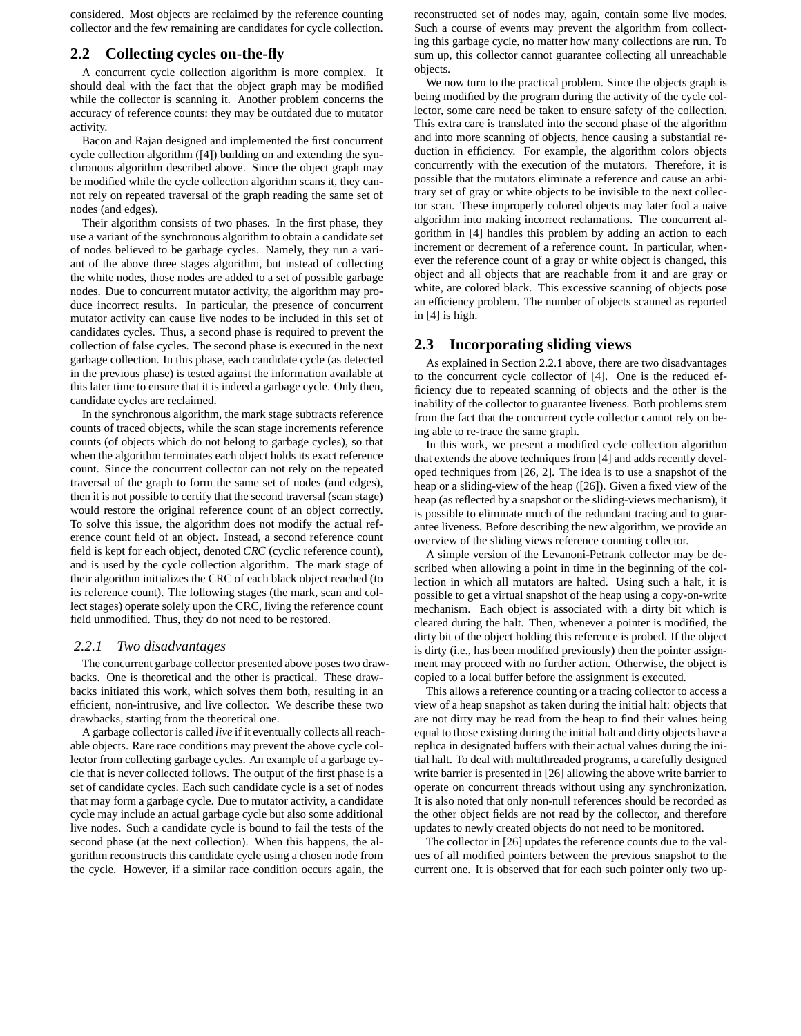considered. Most objects are reclaimed by the reference counting collector and the few remaining are candidates for cycle collection.

# **2.2 Collecting cycles on-the-fly**

A concurrent cycle collection algorithm is more complex. It should deal with the fact that the object graph may be modified while the collector is scanning it. Another problem concerns the accuracy of reference counts: they may be outdated due to mutator activity.

Bacon and Rajan designed and implemented the first concurrent cycle collection algorithm ([4]) building on and extending the synchronous algorithm described above. Since the object graph may be modified while the cycle collection algorithm scans it, they cannot rely on repeated traversal of the graph reading the same set of nodes (and edges).

Their algorithm consists of two phases. In the first phase, they use a variant of the synchronous algorithm to obtain a candidate set of nodes believed to be garbage cycles. Namely, they run a variant of the above three stages algorithm, but instead of collecting the white nodes, those nodes are added to a set of possible garbage nodes. Due to concurrent mutator activity, the algorithm may produce incorrect results. In particular, the presence of concurrent mutator activity can cause live nodes to be included in this set of candidates cycles. Thus, a second phase is required to prevent the collection of false cycles. The second phase is executed in the next garbage collection. In this phase, each candidate cycle (as detected in the previous phase) is tested against the information available at this later time to ensure that it is indeed a garbage cycle. Only then, candidate cycles are reclaimed.

In the synchronous algorithm, the mark stage subtracts reference counts of traced objects, while the scan stage increments reference counts (of objects which do not belong to garbage cycles), so that when the algorithm terminates each object holds its exact reference count. Since the concurrent collector can not rely on the repeated traversal of the graph to form the same set of nodes (and edges), then it is not possible to certify that the second traversal (scan stage) would restore the original reference count of an object correctly. To solve this issue, the algorithm does not modify the actual reference count field of an object. Instead, a second reference count field is kept for each object, denoted *CRC* (cyclic reference count), and is used by the cycle collection algorithm. The mark stage of their algorithm initializes the CRC of each black object reached (to its reference count). The following stages (the mark, scan and collect stages) operate solely upon the CRC, living the reference count field unmodified. Thus, they do not need to be restored.

#### *2.2.1 Two disadvantages*

The concurrent garbage collector presented above poses two drawbacks. One is theoretical and the other is practical. These drawbacks initiated this work, which solves them both, resulting in an efficient, non-intrusive, and live collector. We describe these two drawbacks, starting from the theoretical one.

A garbage collector is called *live* if it eventually collects all reachable objects. Rare race conditions may prevent the above cycle collector from collecting garbage cycles. An example of a garbage cycle that is never collected follows. The output of the first phase is a set of candidate cycles. Each such candidate cycle is a set of nodes that may form a garbage cycle. Due to mutator activity, a candidate cycle may include an actual garbage cycle but also some additional live nodes. Such a candidate cycle is bound to fail the tests of the second phase (at the next collection). When this happens, the algorithm reconstructs this candidate cycle using a chosen node from the cycle. However, if a similar race condition occurs again, the

reconstructed set of nodes may, again, contain some live modes. Such a course of events may prevent the algorithm from collecting this garbage cycle, no matter how many collections are run. To sum up, this collector cannot guarantee collecting all unreachable objects.

We now turn to the practical problem. Since the objects graph is being modified by the program during the activity of the cycle collector, some care need be taken to ensure safety of the collection. This extra care is translated into the second phase of the algorithm and into more scanning of objects, hence causing a substantial reduction in efficiency. For example, the algorithm colors objects concurrently with the execution of the mutators. Therefore, it is possible that the mutators eliminate a reference and cause an arbitrary set of gray or white objects to be invisible to the next collector scan. These improperly colored objects may later fool a naive algorithm into making incorrect reclamations. The concurrent algorithm in [4] handles this problem by adding an action to each increment or decrement of a reference count. In particular, whenever the reference count of a gray or white object is changed, this object and all objects that are reachable from it and are gray or white, are colored black. This excessive scanning of objects pose an efficiency problem. The number of objects scanned as reported in [4] is high.

# **2.3 Incorporating sliding views**

As explained in Section 2.2.1 above, there are two disadvantages to the concurrent cycle collector of [4]. One is the reduced efficiency due to repeated scanning of objects and the other is the inability of the collector to guarantee liveness. Both problems stem from the fact that the concurrent cycle collector cannot rely on being able to re-trace the same graph.

In this work, we present a modified cycle collection algorithm that extends the above techniques from [4] and adds recently developed techniques from [26, 2]. The idea is to use a snapshot of the heap or a sliding-view of the heap ([26]). Given a fixed view of the heap (as reflected by a snapshot or the sliding-views mechanism), it is possible to eliminate much of the redundant tracing and to guarantee liveness. Before describing the new algorithm, we provide an overview of the sliding views reference counting collector.

A simple version of the Levanoni-Petrank collector may be described when allowing a point in time in the beginning of the collection in which all mutators are halted. Using such a halt, it is possible to get a virtual snapshot of the heap using a copy-on-write mechanism. Each object is associated with a dirty bit which is cleared during the halt. Then, whenever a pointer is modified, the dirty bit of the object holding this reference is probed. If the object is dirty (i.e., has been modified previously) then the pointer assignment may proceed with no further action. Otherwise, the object is copied to a local buffer before the assignment is executed.

This allows a reference counting or a tracing collector to access a view of a heap snapshot as taken during the initial halt: objects that are not dirty may be read from the heap to find their values being equal to those existing during the initial halt and dirty objects have a replica in designated buffers with their actual values during the initial halt. To deal with multithreaded programs, a carefully designed write barrier is presented in [26] allowing the above write barrier to operate on concurrent threads without using any synchronization. It is also noted that only non-null references should be recorded as the other object fields are not read by the collector, and therefore updates to newly created objects do not need to be monitored.

The collector in [26] updates the reference counts due to the values of all modified pointers between the previous snapshot to the current one. It is observed that for each such pointer only two up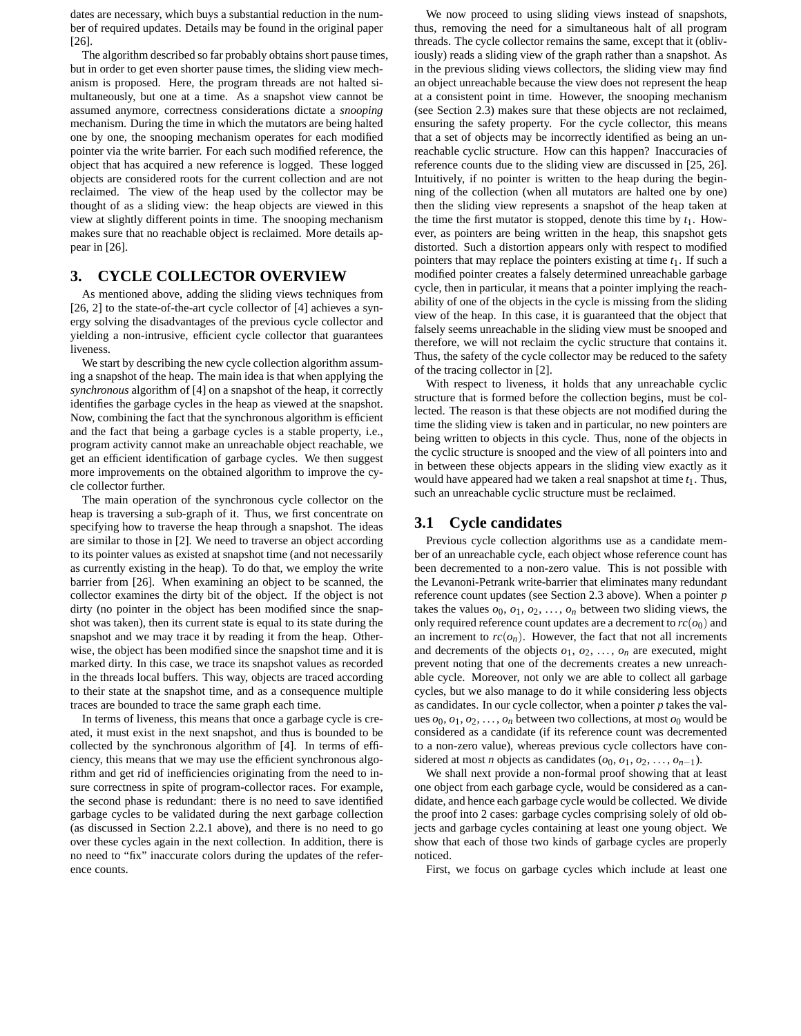dates are necessary, which buys a substantial reduction in the number of required updates. Details may be found in the original paper [26].

The algorithm described so far probably obtains short pause times, but in order to get even shorter pause times, the sliding view mechanism is proposed. Here, the program threads are not halted simultaneously, but one at a time. As a snapshot view cannot be assumed anymore, correctness considerations dictate a *snooping* mechanism. During the time in which the mutators are being halted one by one, the snooping mechanism operates for each modified pointer via the write barrier. For each such modified reference, the object that has acquired a new reference is logged. These logged objects are considered roots for the current collection and are not reclaimed. The view of the heap used by the collector may be thought of as a sliding view: the heap objects are viewed in this view at slightly different points in time. The snooping mechanism makes sure that no reachable object is reclaimed. More details appear in [26].

# **3. CYCLE COLLECTOR OVERVIEW**

As mentioned above, adding the sliding views techniques from [26, 2] to the state-of-the-art cycle collector of [4] achieves a synergy solving the disadvantages of the previous cycle collector and yielding a non-intrusive, efficient cycle collector that guarantees liveness.

We start by describing the new cycle collection algorithm assuming a snapshot of the heap. The main idea is that when applying the *synchronous* algorithm of [4] on a snapshot of the heap, it correctly identifies the garbage cycles in the heap as viewed at the snapshot. Now, combining the fact that the synchronous algorithm is efficient and the fact that being a garbage cycles is a stable property, i.e., program activity cannot make an unreachable object reachable, we get an efficient identification of garbage cycles. We then suggest more improvements on the obtained algorithm to improve the cycle collector further.

The main operation of the synchronous cycle collector on the heap is traversing a sub-graph of it. Thus, we first concentrate on specifying how to traverse the heap through a snapshot. The ideas are similar to those in [2]. We need to traverse an object according to its pointer values as existed at snapshot time (and not necessarily as currently existing in the heap). To do that, we employ the write barrier from [26]. When examining an object to be scanned, the collector examines the dirty bit of the object. If the object is not dirty (no pointer in the object has been modified since the snapshot was taken), then its current state is equal to its state during the snapshot and we may trace it by reading it from the heap. Otherwise, the object has been modified since the snapshot time and it is marked dirty. In this case, we trace its snapshot values as recorded in the threads local buffers. This way, objects are traced according to their state at the snapshot time, and as a consequence multiple traces are bounded to trace the same graph each time.

In terms of liveness, this means that once a garbage cycle is created, it must exist in the next snapshot, and thus is bounded to be collected by the synchronous algorithm of [4]. In terms of efficiency, this means that we may use the efficient synchronous algorithm and get rid of inefficiencies originating from the need to insure correctness in spite of program-collector races. For example, the second phase is redundant: there is no need to save identified garbage cycles to be validated during the next garbage collection (as discussed in Section 2.2.1 above), and there is no need to go over these cycles again in the next collection. In addition, there is no need to "fix" inaccurate colors during the updates of the reference counts.

We now proceed to using sliding views instead of snapshots, thus, removing the need for a simultaneous halt of all program threads. The cycle collector remains the same, except that it (obliviously) reads a sliding view of the graph rather than a snapshot. As in the previous sliding views collectors, the sliding view may find an object unreachable because the view does not represent the heap at a consistent point in time. However, the snooping mechanism (see Section 2.3) makes sure that these objects are not reclaimed, ensuring the safety property. For the cycle collector, this means that a set of objects may be incorrectly identified as being an unreachable cyclic structure. How can this happen? Inaccuracies of reference counts due to the sliding view are discussed in [25, 26]. Intuitively, if no pointer is written to the heap during the beginning of the collection (when all mutators are halted one by one) then the sliding view represents a snapshot of the heap taken at the time the first mutator is stopped, denote this time by  $t_1$ . However, as pointers are being written in the heap, this snapshot gets distorted. Such a distortion appears only with respect to modified pointers that may replace the pointers existing at time  $t_1$ . If such a modified pointer creates a falsely determined unreachable garbage cycle, then in particular, it means that a pointer implying the reachability of one of the objects in the cycle is missing from the sliding view of the heap. In this case, it is guaranteed that the object that falsely seems unreachable in the sliding view must be snooped and therefore, we will not reclaim the cyclic structure that contains it. Thus, the safety of the cycle collector may be reduced to the safety of the tracing collector in [2].

With respect to liveness, it holds that any unreachable cyclic structure that is formed before the collection begins, must be collected. The reason is that these objects are not modified during the time the sliding view is taken and in particular, no new pointers are being written to objects in this cycle. Thus, none of the objects in the cyclic structure is snooped and the view of all pointers into and in between these objects appears in the sliding view exactly as it would have appeared had we taken a real snapshot at time *t*1. Thus, such an unreachable cyclic structure must be reclaimed.

## **3.1 Cycle candidates**

Previous cycle collection algorithms use as a candidate member of an unreachable cycle, each object whose reference count has been decremented to a non-zero value. This is not possible with the Levanoni-Petrank write-barrier that eliminates many redundant reference count updates (see Section 2.3 above). When a pointer *p* takes the values  $o_0$ ,  $o_1$ ,  $o_2$ , ...,  $o_n$  between two sliding views, the only required reference count updates are a decrement to  $rc(o_0)$  and an increment to  $rc(o_n)$ . However, the fact that not all increments and decrements of the objects  $o_1, o_2, \ldots, o_n$  are executed, might prevent noting that one of the decrements creates a new unreachable cycle. Moreover, not only we are able to collect all garbage cycles, but we also manage to do it while considering less objects as candidates. In our cycle collector, when a pointer *p* takes the values  $o_0$ ,  $o_1$ ,  $o_2$ , ...,  $o_n$  between two collections, at most  $o_0$  would be considered as a candidate (if its reference count was decremented to a non-zero value), whereas previous cycle collectors have considered at most *n* objects as candidates  $(o_0, o_1, o_2, \ldots, o_{n-1})$ .

We shall next provide a non-formal proof showing that at least one object from each garbage cycle, would be considered as a candidate, and hence each garbage cycle would be collected. We divide the proof into 2 cases: garbage cycles comprising solely of old objects and garbage cycles containing at least one young object. We show that each of those two kinds of garbage cycles are properly noticed.

First, we focus on garbage cycles which include at least one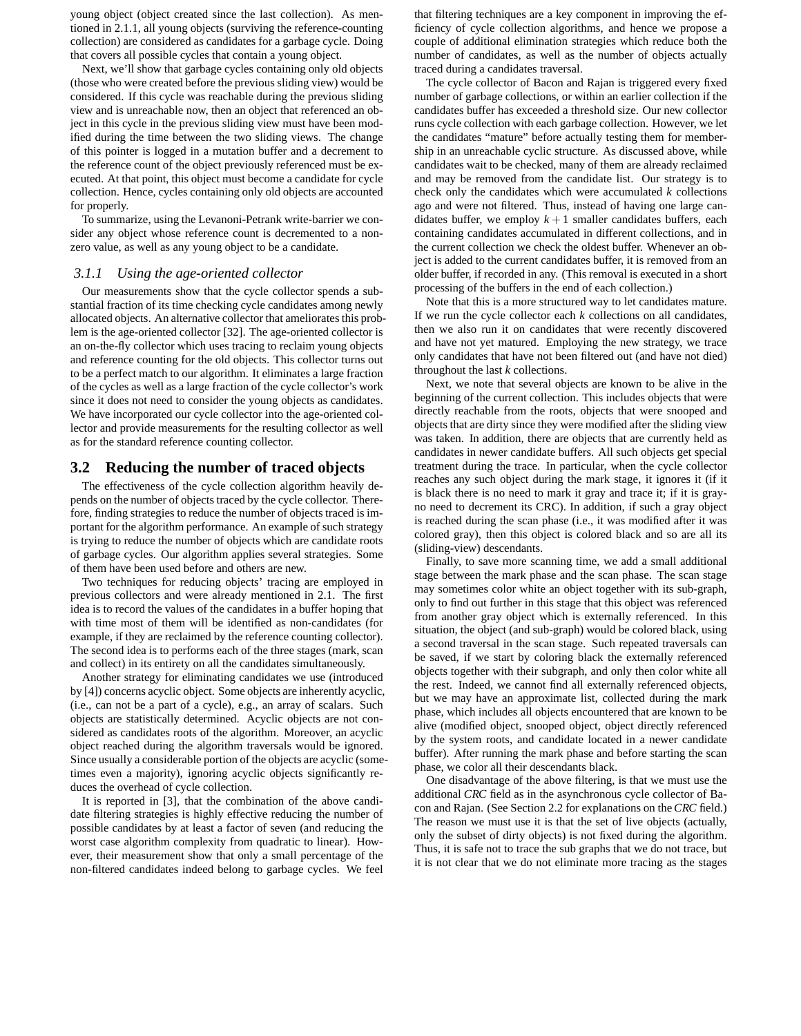young object (object created since the last collection). As mentioned in 2.1.1, all young objects (surviving the reference-counting collection) are considered as candidates for a garbage cycle. Doing that covers all possible cycles that contain a young object.

Next, we'll show that garbage cycles containing only old objects (those who were created before the previous sliding view) would be considered. If this cycle was reachable during the previous sliding view and is unreachable now, then an object that referenced an object in this cycle in the previous sliding view must have been modified during the time between the two sliding views. The change of this pointer is logged in a mutation buffer and a decrement to the reference count of the object previously referenced must be executed. At that point, this object must become a candidate for cycle collection. Hence, cycles containing only old objects are accounted for properly.

To summarize, using the Levanoni-Petrank write-barrier we consider any object whose reference count is decremented to a nonzero value, as well as any young object to be a candidate.

# *3.1.1 Using the age-oriented collector*

Our measurements show that the cycle collector spends a substantial fraction of its time checking cycle candidates among newly allocated objects. An alternative collector that ameliorates this problem is the age-oriented collector [32]. The age-oriented collector is an on-the-fly collector which uses tracing to reclaim young objects and reference counting for the old objects. This collector turns out to be a perfect match to our algorithm. It eliminates a large fraction of the cycles as well as a large fraction of the cycle collector's work since it does not need to consider the young objects as candidates. We have incorporated our cycle collector into the age-oriented collector and provide measurements for the resulting collector as well as for the standard reference counting collector.

#### **3.2 Reducing the number of traced objects**

The effectiveness of the cycle collection algorithm heavily depends on the number of objects traced by the cycle collector. Therefore, finding strategies to reduce the number of objects traced is important for the algorithm performance. An example of such strategy is trying to reduce the number of objects which are candidate roots of garbage cycles. Our algorithm applies several strategies. Some of them have been used before and others are new.

Two techniques for reducing objects' tracing are employed in previous collectors and were already mentioned in 2.1. The first idea is to record the values of the candidates in a buffer hoping that with time most of them will be identified as non-candidates (for example, if they are reclaimed by the reference counting collector). The second idea is to performs each of the three stages (mark, scan and collect) in its entirety on all the candidates simultaneously.

Another strategy for eliminating candidates we use (introduced by [4]) concerns acyclic object. Some objects are inherently acyclic, (i.e., can not be a part of a cycle), e.g., an array of scalars. Such objects are statistically determined. Acyclic objects are not considered as candidates roots of the algorithm. Moreover, an acyclic object reached during the algorithm traversals would be ignored. Since usually a considerable portion of the objects are acyclic (sometimes even a majority), ignoring acyclic objects significantly reduces the overhead of cycle collection.

It is reported in [3], that the combination of the above candidate filtering strategies is highly effective reducing the number of possible candidates by at least a factor of seven (and reducing the worst case algorithm complexity from quadratic to linear). However, their measurement show that only a small percentage of the non-filtered candidates indeed belong to garbage cycles. We feel

that filtering techniques are a key component in improving the efficiency of cycle collection algorithms, and hence we propose a couple of additional elimination strategies which reduce both the number of candidates, as well as the number of objects actually traced during a candidates traversal.

The cycle collector of Bacon and Rajan is triggered every fixed number of garbage collections, or within an earlier collection if the candidates buffer has exceeded a threshold size. Our new collector runs cycle collection with each garbage collection. However, we let the candidates "mature" before actually testing them for membership in an unreachable cyclic structure. As discussed above, while candidates wait to be checked, many of them are already reclaimed and may be removed from the candidate list. Our strategy is to check only the candidates which were accumulated *k* collections ago and were not filtered. Thus, instead of having one large candidates buffer, we employ  $k+1$  smaller candidates buffers, each containing candidates accumulated in different collections, and in the current collection we check the oldest buffer. Whenever an object is added to the current candidates buffer, it is removed from an older buffer, if recorded in any. (This removal is executed in a short processing of the buffers in the end of each collection.)

Note that this is a more structured way to let candidates mature. If we run the cycle collector each *k* collections on all candidates, then we also run it on candidates that were recently discovered and have not yet matured. Employing the new strategy, we trace only candidates that have not been filtered out (and have not died) throughout the last *k* collections.

Next, we note that several objects are known to be alive in the beginning of the current collection. This includes objects that were directly reachable from the roots, objects that were snooped and objects that are dirty since they were modified after the sliding view was taken. In addition, there are objects that are currently held as candidates in newer candidate buffers. All such objects get special treatment during the trace. In particular, when the cycle collector reaches any such object during the mark stage, it ignores it (if it is black there is no need to mark it gray and trace it; if it is grayno need to decrement its CRC). In addition, if such a gray object is reached during the scan phase (i.e., it was modified after it was colored gray), then this object is colored black and so are all its (sliding-view) descendants.

Finally, to save more scanning time, we add a small additional stage between the mark phase and the scan phase. The scan stage may sometimes color white an object together with its sub-graph, only to find out further in this stage that this object was referenced from another gray object which is externally referenced. In this situation, the object (and sub-graph) would be colored black, using a second traversal in the scan stage. Such repeated traversals can be saved, if we start by coloring black the externally referenced objects together with their subgraph, and only then color white all the rest. Indeed, we cannot find all externally referenced objects, but we may have an approximate list, collected during the mark phase, which includes all objects encountered that are known to be alive (modified object, snooped object, object directly referenced by the system roots, and candidate located in a newer candidate buffer). After running the mark phase and before starting the scan phase, we color all their descendants black.

One disadvantage of the above filtering, is that we must use the additional *CRC* field as in the asynchronous cycle collector of Bacon and Rajan. (See Section 2.2 for explanations on the *CRC* field.) The reason we must use it is that the set of live objects (actually, only the subset of dirty objects) is not fixed during the algorithm. Thus, it is safe not to trace the sub graphs that we do not trace, but it is not clear that we do not eliminate more tracing as the stages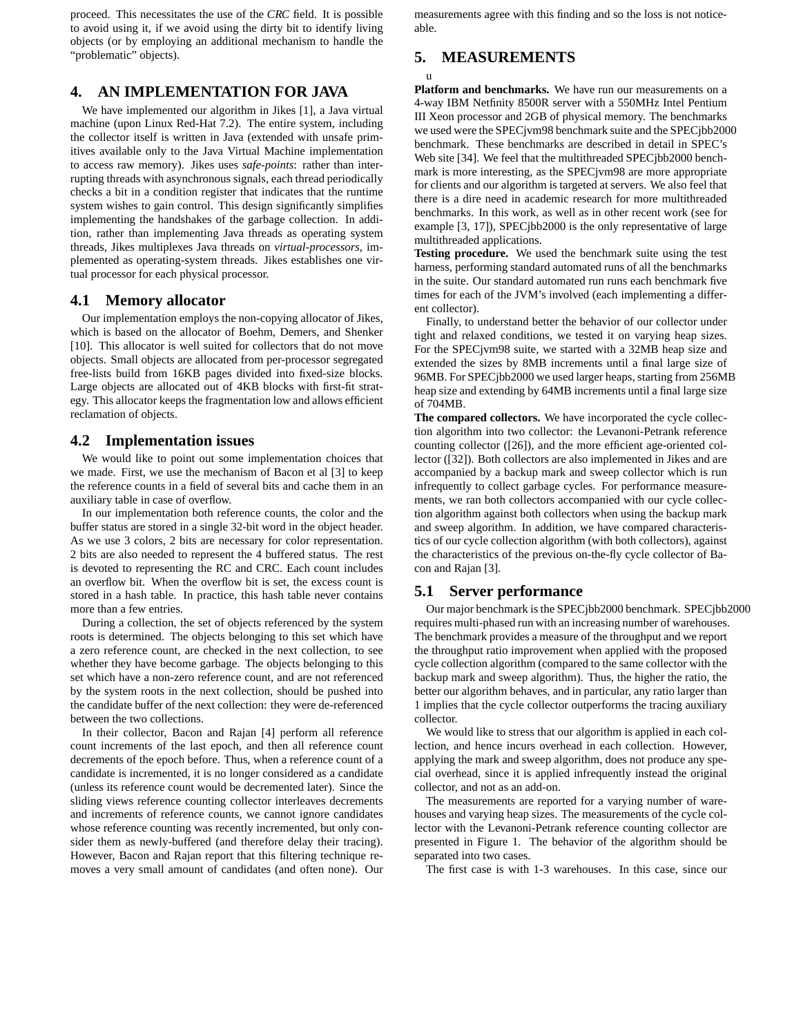proceed. This necessitates the use of the *CRC* field. It is possible to avoid using it, if we avoid using the dirty bit to identify living objects (or by employing an additional mechanism to handle the "problematic" objects).

# **4. AN IMPLEMENTATION FOR JAVA**

We have implemented our algorithm in Jikes [1], a Java virtual machine (upon Linux Red-Hat 7.2). The entire system, including the collector itself is written in Java (extended with unsafe primitives available only to the Java Virtual Machine implementation to access raw memory). Jikes uses *safe-points*: rather than interrupting threads with asynchronous signals, each thread periodically checks a bit in a condition register that indicates that the runtime system wishes to gain control. This design significantly simplifies implementing the handshakes of the garbage collection. In addition, rather than implementing Java threads as operating system threads, Jikes multiplexes Java threads on *virtual-processors*, implemented as operating-system threads. Jikes establishes one virtual processor for each physical processor.

# **4.1 Memory allocator**

Our implementation employs the non-copying allocator of Jikes, which is based on the allocator of Boehm, Demers, and Shenker [10]. This allocator is well suited for collectors that do not move objects. Small objects are allocated from per-processor segregated free-lists build from 16KB pages divided into fixed-size blocks. Large objects are allocated out of 4KB blocks with first-fit strategy. This allocator keeps the fragmentation low and allows efficient reclamation of objects.

### **4.2 Implementation issues**

We would like to point out some implementation choices that we made. First, we use the mechanism of Bacon et al [3] to keep the reference counts in a field of several bits and cache them in an auxiliary table in case of overflow.

In our implementation both reference counts, the color and the buffer status are stored in a single 32-bit word in the object header. As we use 3 colors, 2 bits are necessary for color representation. 2 bits are also needed to represent the 4 buffered status. The rest is devoted to representing the RC and CRC. Each count includes an overflow bit. When the overflow bit is set, the excess count is stored in a hash table. In practice, this hash table never contains more than a few entries.

During a collection, the set of objects referenced by the system roots is determined. The objects belonging to this set which have a zero reference count, are checked in the next collection, to see whether they have become garbage. The objects belonging to this set which have a non-zero reference count, and are not referenced by the system roots in the next collection, should be pushed into the candidate buffer of the next collection: they were de-referenced between the two collections.

In their collector, Bacon and Rajan [4] perform all reference count increments of the last epoch, and then all reference count decrements of the epoch before. Thus, when a reference count of a candidate is incremented, it is no longer considered as a candidate (unless its reference count would be decremented later). Since the sliding views reference counting collector interleaves decrements and increments of reference counts, we cannot ignore candidates whose reference counting was recently incremented, but only consider them as newly-buffered (and therefore delay their tracing). However, Bacon and Rajan report that this filtering technique removes a very small amount of candidates (and often none). Our

measurements agree with this finding and so the loss is not noticeable.

# **5. MEASUREMENTS**

u

**Platform and benchmarks.** We have run our measurements on a 4-way IBM Netfinity 8500R server with a 550MHz Intel Pentium III Xeon processor and 2GB of physical memory. The benchmarks we used were the SPECjvm98 benchmark suite and the SPECjbb2000 benchmark. These benchmarks are described in detail in SPEC's Web site [34]. We feel that the multithreaded SPECjbb2000 benchmark is more interesting, as the SPECjvm98 are more appropriate for clients and our algorithm is targeted at servers. We also feel that there is a dire need in academic research for more multithreaded benchmarks. In this work, as well as in other recent work (see for example [3, 17]), SPECjbb2000 is the only representative of large multithreaded applications.

**Testing procedure.** We used the benchmark suite using the test harness, performing standard automated runs of all the benchmarks in the suite. Our standard automated run runs each benchmark five times for each of the JVM's involved (each implementing a different collector).

Finally, to understand better the behavior of our collector under tight and relaxed conditions, we tested it on varying heap sizes. For the SPECjvm98 suite, we started with a 32MB heap size and extended the sizes by 8MB increments until a final large size of 96MB. For SPECjbb2000 we used larger heaps, starting from 256MB heap size and extending by 64MB increments until a final large size of 704MB.

**The compared collectors.** We have incorporated the cycle collection algorithm into two collector: the Levanoni-Petrank reference counting collector ([26]), and the more efficient age-oriented collector ([32]). Both collectors are also implemented in Jikes and are accompanied by a backup mark and sweep collector which is run infrequently to collect garbage cycles. For performance measurements, we ran both collectors accompanied with our cycle collection algorithm against both collectors when using the backup mark and sweep algorithm. In addition, we have compared characteristics of our cycle collection algorithm (with both collectors), against the characteristics of the previous on-the-fly cycle collector of Bacon and Rajan [3].

# **5.1 Server performance**

Our major benchmark is the SPECjbb2000 benchmark. SPECjbb2000 requires multi-phased run with an increasing number of warehouses. The benchmark provides a measure of the throughput and we report the throughput ratio improvement when applied with the proposed cycle collection algorithm (compared to the same collector with the backup mark and sweep algorithm). Thus, the higher the ratio, the better our algorithm behaves, and in particular, any ratio larger than 1 implies that the cycle collector outperforms the tracing auxiliary collector.

We would like to stress that our algorithm is applied in each collection, and hence incurs overhead in each collection. However, applying the mark and sweep algorithm, does not produce any special overhead, since it is applied infrequently instead the original collector, and not as an add-on.

The measurements are reported for a varying number of warehouses and varying heap sizes. The measurements of the cycle collector with the Levanoni-Petrank reference counting collector are presented in Figure 1. The behavior of the algorithm should be separated into two cases.

The first case is with 1-3 warehouses. In this case, since our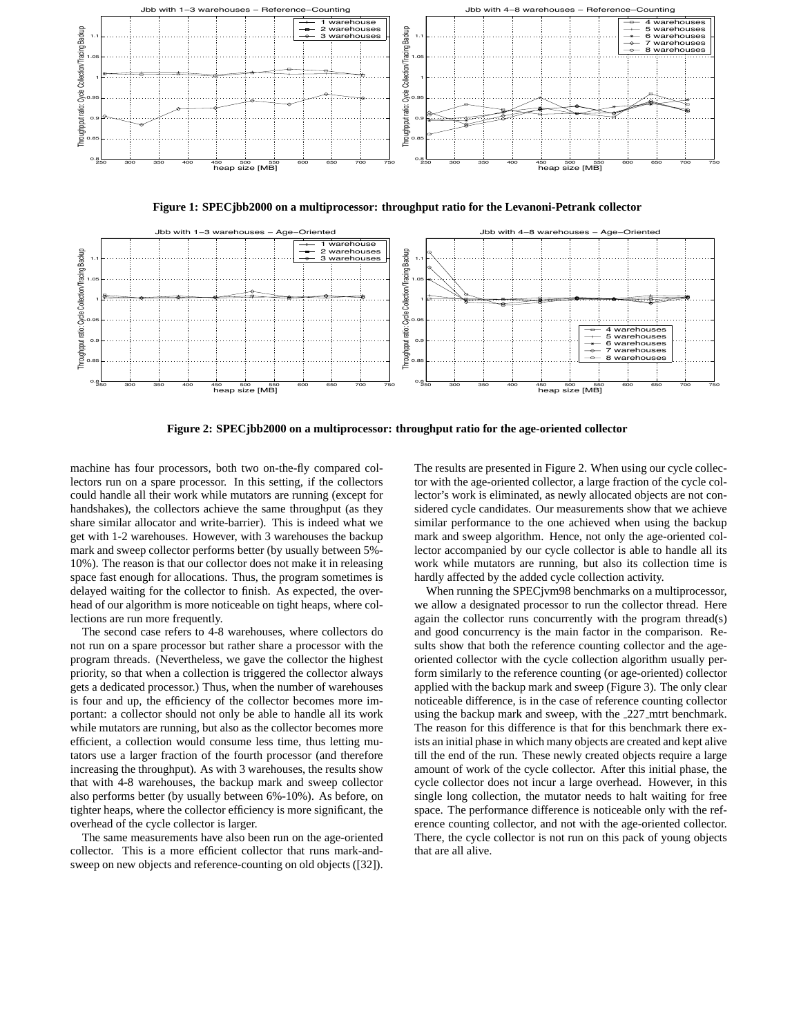

**Figure 1: SPECjbb2000 on a multiprocessor: throughput ratio for the Levanoni-Petrank collector**



**Figure 2: SPECjbb2000 on a multiprocessor: throughput ratio for the age-oriented collector**

machine has four processors, both two on-the-fly compared collectors run on a spare processor. In this setting, if the collectors could handle all their work while mutators are running (except for handshakes), the collectors achieve the same throughput (as they share similar allocator and write-barrier). This is indeed what we get with 1-2 warehouses. However, with 3 warehouses the backup mark and sweep collector performs better (by usually between 5%- 10%). The reason is that our collector does not make it in releasing space fast enough for allocations. Thus, the program sometimes is delayed waiting for the collector to finish. As expected, the overhead of our algorithm is more noticeable on tight heaps, where collections are run more frequently.

The second case refers to 4-8 warehouses, where collectors do not run on a spare processor but rather share a processor with the program threads. (Nevertheless, we gave the collector the highest priority, so that when a collection is triggered the collector always gets a dedicated processor.) Thus, when the number of warehouses is four and up, the efficiency of the collector becomes more important: a collector should not only be able to handle all its work while mutators are running, but also as the collector becomes more efficient, a collection would consume less time, thus letting mutators use a larger fraction of the fourth processor (and therefore increasing the throughput). As with 3 warehouses, the results show that with 4-8 warehouses, the backup mark and sweep collector also performs better (by usually between 6%-10%). As before, on tighter heaps, where the collector efficiency is more significant, the overhead of the cycle collector is larger.

The same measurements have also been run on the age-oriented collector. This is a more efficient collector that runs mark-andsweep on new objects and reference-counting on old objects ([32]).

The results are presented in Figure 2. When using our cycle collector with the age-oriented collector, a large fraction of the cycle collector's work is eliminated, as newly allocated objects are not considered cycle candidates. Our measurements show that we achieve similar performance to the one achieved when using the backup mark and sweep algorithm. Hence, not only the age-oriented collector accompanied by our cycle collector is able to handle all its work while mutators are running, but also its collection time is hardly affected by the added cycle collection activity.

When running the SPECjvm98 benchmarks on a multiprocessor, we allow a designated processor to run the collector thread. Here again the collector runs concurrently with the program thread(s) and good concurrency is the main factor in the comparison. Results show that both the reference counting collector and the ageoriented collector with the cycle collection algorithm usually perform similarly to the reference counting (or age-oriented) collector applied with the backup mark and sweep (Figure 3). The only clear noticeable difference, is in the case of reference counting collector using the backup mark and sweep, with the 227 mtrt benchmark. The reason for this difference is that for this benchmark there exists an initial phase in which many objects are created and kept alive till the end of the run. These newly created objects require a large amount of work of the cycle collector. After this initial phase, the cycle collector does not incur a large overhead. However, in this single long collection, the mutator needs to halt waiting for free space. The performance difference is noticeable only with the reference counting collector, and not with the age-oriented collector. There, the cycle collector is not run on this pack of young objects that are all alive.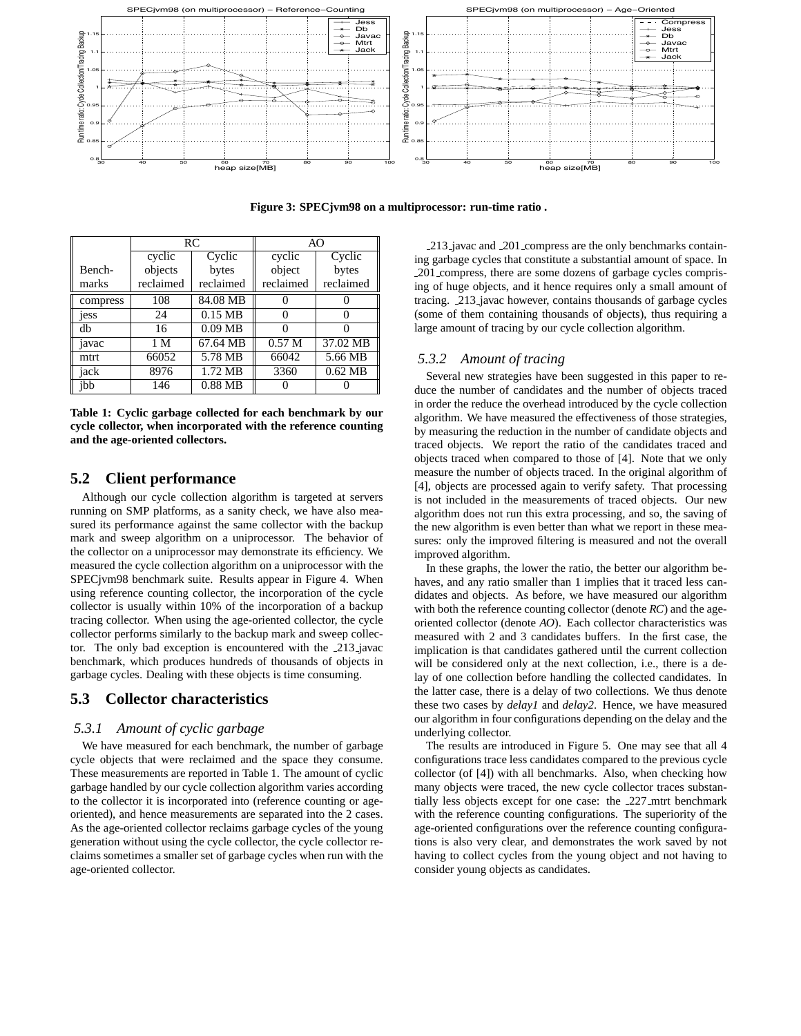

**Figure 3: SPECjvm98 on a multiprocessor: run-time ratio .**

|          | RC        |           |                   | AO        |  |
|----------|-----------|-----------|-------------------|-----------|--|
|          | cyclic    | Cyclic    | cyclic            | Cyclic    |  |
| Bench-   | objects   | bytes     | object            | bytes     |  |
| marks    | reclaimed | reclaimed | reclaimed         | reclaimed |  |
| compress | 108       | 84.08 MB  |                   |           |  |
| jess     | 24        | $0.15$ MB | $\theta$          |           |  |
| db       | 16        | $0.09$ MB | 0                 |           |  |
| javac    | 1 M       | 67.64 MB  | 0.57 <sub>M</sub> | 37.02 MB  |  |
| mtrt     | 66052     | 5.78 MB   | 66042             | 5.66 MB   |  |
| jack     | 8976      | 1.72 MB   | 3360              | $0.62$ MB |  |
| ibb      | 146       | $0.88$ MB |                   |           |  |

**Table 1: Cyclic garbage collected for each benchmark by our cycle collector, when incorporated with the reference counting and the age-oriented collectors.**

### **5.2 Client performance**

Although our cycle collection algorithm is targeted at servers running on SMP platforms, as a sanity check, we have also measured its performance against the same collector with the backup mark and sweep algorithm on a uniprocessor. The behavior of the collector on a uniprocessor may demonstrate its efficiency. We measured the cycle collection algorithm on a uniprocessor with the SPECjvm98 benchmark suite. Results appear in Figure 4. When using reference counting collector, the incorporation of the cycle collector is usually within 10% of the incorporation of a backup tracing collector. When using the age-oriented collector, the cycle collector performs similarly to the backup mark and sweep collector. The only bad exception is encountered with the 213 javac benchmark, which produces hundreds of thousands of objects in garbage cycles. Dealing with these objects is time consuming.

# **5.3 Collector characteristics**

# *5.3.1 Amount of cyclic garbage*

We have measured for each benchmark, the number of garbage cycle objects that were reclaimed and the space they consume. These measurements are reported in Table 1. The amount of cyclic garbage handled by our cycle collection algorithm varies according to the collector it is incorporated into (reference counting or ageoriented), and hence measurements are separated into the 2 cases. As the age-oriented collector reclaims garbage cycles of the young generation without using the cycle collector, the cycle collector reclaims sometimes a smaller set of garbage cycles when run with the age-oriented collector.

213 javac and 201 compress are the only benchmarks containing garbage cycles that constitute a substantial amount of space. In 201 compress, there are some dozens of garbage cycles comprising of huge objects, and it hence requires only a small amount of tracing. 213 javac however, contains thousands of garbage cycles (some of them containing thousands of objects), thus requiring a large amount of tracing by our cycle collection algorithm.

## *5.3.2 Amount of tracing*

Several new strategies have been suggested in this paper to reduce the number of candidates and the number of objects traced in order the reduce the overhead introduced by the cycle collection algorithm. We have measured the effectiveness of those strategies, by measuring the reduction in the number of candidate objects and traced objects. We report the ratio of the candidates traced and objects traced when compared to those of [4]. Note that we only measure the number of objects traced. In the original algorithm of [4], objects are processed again to verify safety. That processing is not included in the measurements of traced objects. Our new algorithm does not run this extra processing, and so, the saving of the new algorithm is even better than what we report in these measures: only the improved filtering is measured and not the overall improved algorithm.

In these graphs, the lower the ratio, the better our algorithm behaves, and any ratio smaller than 1 implies that it traced less candidates and objects. As before, we have measured our algorithm with both the reference counting collector (denote *RC*) and the ageoriented collector (denote *AO*). Each collector characteristics was measured with 2 and 3 candidates buffers. In the first case, the implication is that candidates gathered until the current collection will be considered only at the next collection, i.e., there is a delay of one collection before handling the collected candidates. In the latter case, there is a delay of two collections. We thus denote these two cases by *delay1* and *delay2*. Hence, we have measured our algorithm in four configurations depending on the delay and the underlying collector.

The results are introduced in Figure 5. One may see that all 4 configurations trace less candidates compared to the previous cycle collector (of [4]) with all benchmarks. Also, when checking how many objects were traced, the new cycle collector traces substantially less objects except for one case: the 227 mtrt benchmark with the reference counting configurations. The superiority of the age-oriented configurations over the reference counting configurations is also very clear, and demonstrates the work saved by not having to collect cycles from the young object and not having to consider young objects as candidates.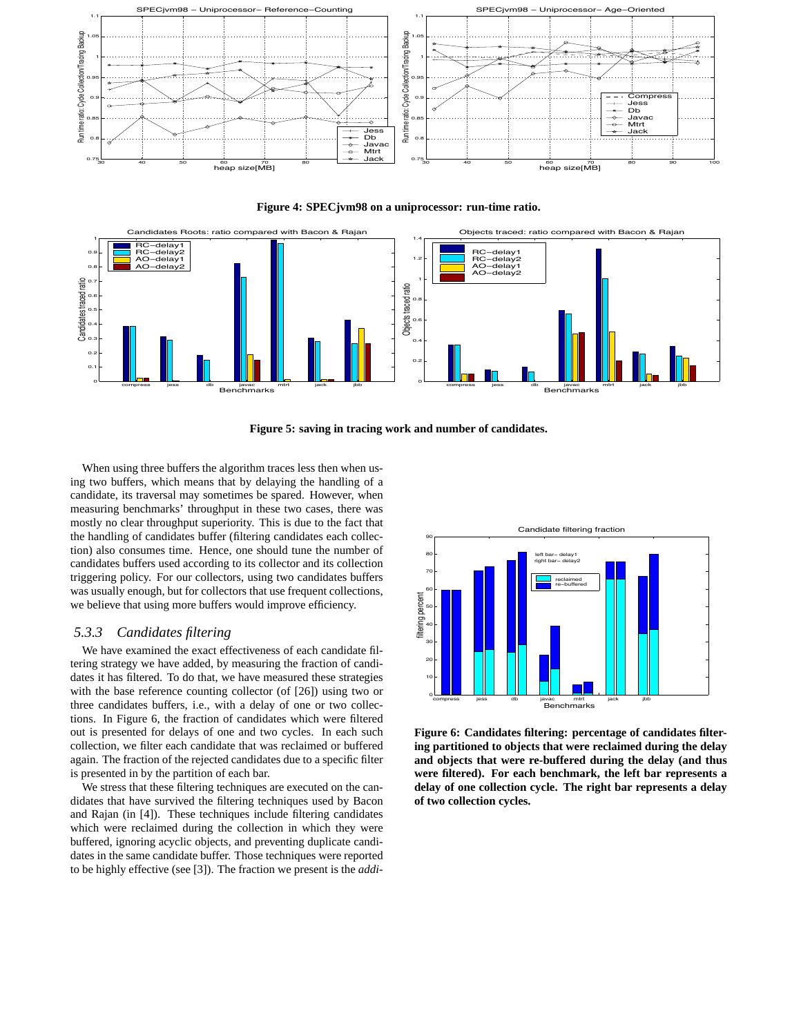





**Figure 5: saving in tracing work and number of candidates.**

When using three buffers the algorithm traces less then when using two buffers, which means that by delaying the handling of a candidate, its traversal may sometimes be spared. However, when measuring benchmarks' throughput in these two cases, there was mostly no clear throughput superiority. This is due to the fact that the handling of candidates buffer (filtering candidates each collection) also consumes time. Hence, one should tune the number of candidates buffers used according to its collector and its collection triggering policy. For our collectors, using two candidates buffers was usually enough, but for collectors that use frequent collections, we believe that using more buffers would improve efficiency.

## *5.3.3 Candidates filtering*

We have examined the exact effectiveness of each candidate filtering strategy we have added, by measuring the fraction of candidates it has filtered. To do that, we have measured these strategies with the base reference counting collector (of [26]) using two or three candidates buffers, i.e., with a delay of one or two collections. In Figure 6, the fraction of candidates which were filtered out is presented for delays of one and two cycles. In each such collection, we filter each candidate that was reclaimed or buffered again. The fraction of the rejected candidates due to a specific filter is presented in by the partition of each bar.

We stress that these filtering techniques are executed on the candidates that have survived the filtering techniques used by Bacon and Rajan (in [4]). These techniques include filtering candidates which were reclaimed during the collection in which they were buffered, ignoring acyclic objects, and preventing duplicate candidates in the same candidate buffer. Those techniques were reported to be highly effective (see [3]). The fraction we present is the *addi-*



**Figure 6: Candidates filtering: percentage of candidates filtering partitioned to objects that were reclaimed during the delay and objects that were re-buffered during the delay (and thus were filtered). For each benchmark, the left bar represents a delay of one collection cycle. The right bar represents a delay of two collection cycles.**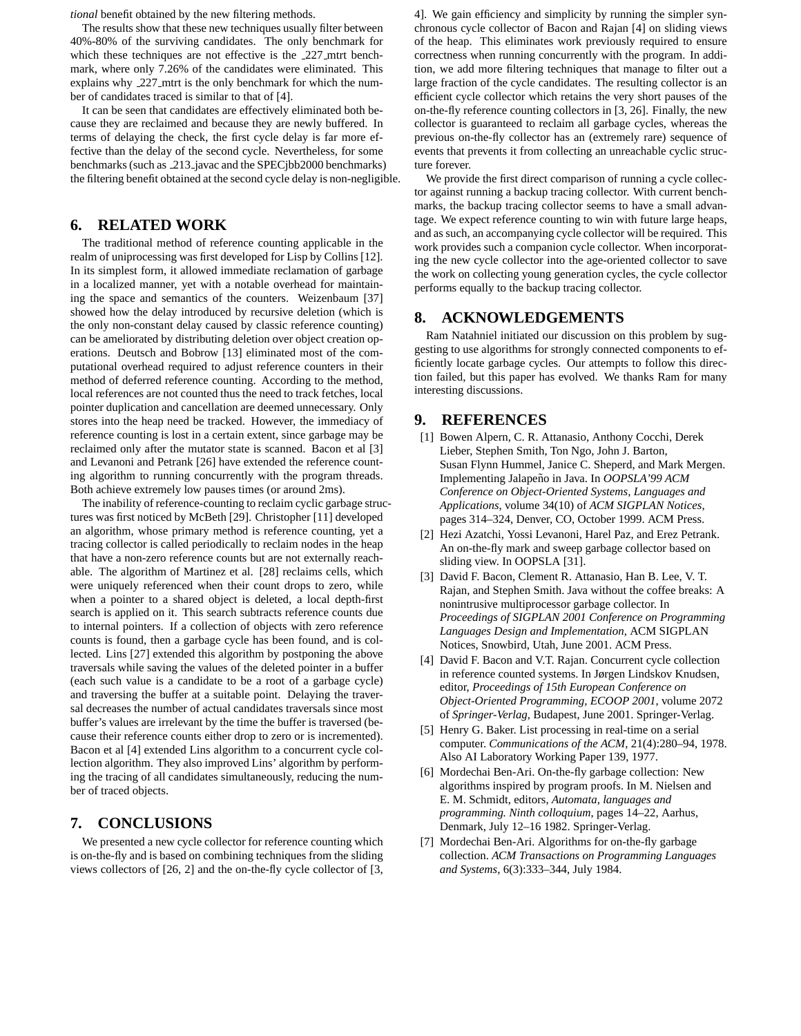*tional* benefit obtained by the new filtering methods.

The results show that these new techniques usually filter between 40%-80% of the surviving candidates. The only benchmark for which these techniques are not effective is the 227 mtrt benchmark, where only 7.26% of the candidates were eliminated. This explains why 227 mtrt is the only benchmark for which the number of candidates traced is similar to that of [4].

It can be seen that candidates are effectively eliminated both because they are reclaimed and because they are newly buffered. In terms of delaying the check, the first cycle delay is far more effective than the delay of the second cycle. Nevertheless, for some benchmarks (such as 213 javac and the SPECjbb2000 benchmarks) the filtering benefit obtained at the second cycle delay is non-negligible.

# **6. RELATED WORK**

The traditional method of reference counting applicable in the realm of uniprocessing was first developed for Lisp by Collins [12]. In its simplest form, it allowed immediate reclamation of garbage in a localized manner, yet with a notable overhead for maintaining the space and semantics of the counters. Weizenbaum [37] showed how the delay introduced by recursive deletion (which is the only non-constant delay caused by classic reference counting) can be ameliorated by distributing deletion over object creation operations. Deutsch and Bobrow [13] eliminated most of the computational overhead required to adjust reference counters in their method of deferred reference counting. According to the method, local references are not counted thus the need to track fetches, local pointer duplication and cancellation are deemed unnecessary. Only stores into the heap need be tracked. However, the immediacy of reference counting is lost in a certain extent, since garbage may be reclaimed only after the mutator state is scanned. Bacon et al [3] and Levanoni and Petrank [26] have extended the reference counting algorithm to running concurrently with the program threads. Both achieve extremely low pauses times (or around 2ms).

The inability of reference-counting to reclaim cyclic garbage structures was first noticed by McBeth [29]. Christopher [11] developed an algorithm, whose primary method is reference counting, yet a tracing collector is called periodically to reclaim nodes in the heap that have a non-zero reference counts but are not externally reachable. The algorithm of Martinez et al. [28] reclaims cells, which were uniquely referenced when their count drops to zero, while when a pointer to a shared object is deleted, a local depth-first search is applied on it. This search subtracts reference counts due to internal pointers. If a collection of objects with zero reference counts is found, then a garbage cycle has been found, and is collected. Lins [27] extended this algorithm by postponing the above traversals while saving the values of the deleted pointer in a buffer (each such value is a candidate to be a root of a garbage cycle) and traversing the buffer at a suitable point. Delaying the traversal decreases the number of actual candidates traversals since most buffer's values are irrelevant by the time the buffer is traversed (because their reference counts either drop to zero or is incremented). Bacon et al [4] extended Lins algorithm to a concurrent cycle collection algorithm. They also improved Lins' algorithm by performing the tracing of all candidates simultaneously, reducing the number of traced objects.

# **7. CONCLUSIONS**

We presented a new cycle collector for reference counting which is on-the-fly and is based on combining techniques from the sliding views collectors of [26, 2] and the on-the-fly cycle collector of [3, 4]. We gain efficiency and simplicity by running the simpler synchronous cycle collector of Bacon and Rajan [4] on sliding views of the heap. This eliminates work previously required to ensure correctness when running concurrently with the program. In addition, we add more filtering techniques that manage to filter out a large fraction of the cycle candidates. The resulting collector is an efficient cycle collector which retains the very short pauses of the on-the-fly reference counting collectors in [3, 26]. Finally, the new collector is guaranteed to reclaim all garbage cycles, whereas the previous on-the-fly collector has an (extremely rare) sequence of events that prevents it from collecting an unreachable cyclic structure forever.

We provide the first direct comparison of running a cycle collector against running a backup tracing collector. With current benchmarks, the backup tracing collector seems to have a small advantage. We expect reference counting to win with future large heaps, and as such, an accompanying cycle collector will be required. This work provides such a companion cycle collector. When incorporating the new cycle collector into the age-oriented collector to save the work on collecting young generation cycles, the cycle collector performs equally to the backup tracing collector.

# **8. ACKNOWLEDGEMENTS**

Ram Natahniel initiated our discussion on this problem by suggesting to use algorithms for strongly connected components to efficiently locate garbage cycles. Our attempts to follow this direction failed, but this paper has evolved. We thanks Ram for many interesting discussions.

# **9. REFERENCES**

- [1] Bowen Alpern, C. R. Attanasio, Anthony Cocchi, Derek Lieber, Stephen Smith, Ton Ngo, John J. Barton, Susan Flynn Hummel, Janice C. Sheperd, and Mark Mergen. Implementing Jalapeño in Java. In OOPSLA'99 ACM *Conference on Object-Oriented Systems, Languages and Applications*, volume 34(10) of *ACM SIGPLAN Notices*, pages 314–324, Denver, CO, October 1999. ACM Press.
- [2] Hezi Azatchi, Yossi Levanoni, Harel Paz, and Erez Petrank. An on-the-fly mark and sweep garbage collector based on sliding view. In OOPSLA [31].
- [3] David F. Bacon, Clement R. Attanasio, Han B. Lee, V. T. Rajan, and Stephen Smith. Java without the coffee breaks: A nonintrusive multiprocessor garbage collector. In *Proceedings of SIGPLAN 2001 Conference on Programming Languages Design and Implementation*, ACM SIGPLAN Notices, Snowbird, Utah, June 2001. ACM Press.
- [4] David F. Bacon and V.T. Rajan. Concurrent cycle collection in reference counted systems. In Jørgen Lindskov Knudsen, editor, *Proceedings of 15th European Conference on Object-Oriented Programming, ECOOP 2001*, volume 2072 of *Springer-Verlag*, Budapest, June 2001. Springer-Verlag.
- [5] Henry G. Baker. List processing in real-time on a serial computer. *Communications of the ACM*, 21(4):280–94, 1978. Also AI Laboratory Working Paper 139, 1977.
- [6] Mordechai Ben-Ari. On-the-fly garbage collection: New algorithms inspired by program proofs. In M. Nielsen and E. M. Schmidt, editors, *Automata, languages and programming. Ninth colloquium*, pages 14–22, Aarhus, Denmark, July 12–16 1982. Springer-Verlag.
- [7] Mordechai Ben-Ari. Algorithms for on-the-fly garbage collection. *ACM Transactions on Programming Languages and Systems*, 6(3):333–344, July 1984.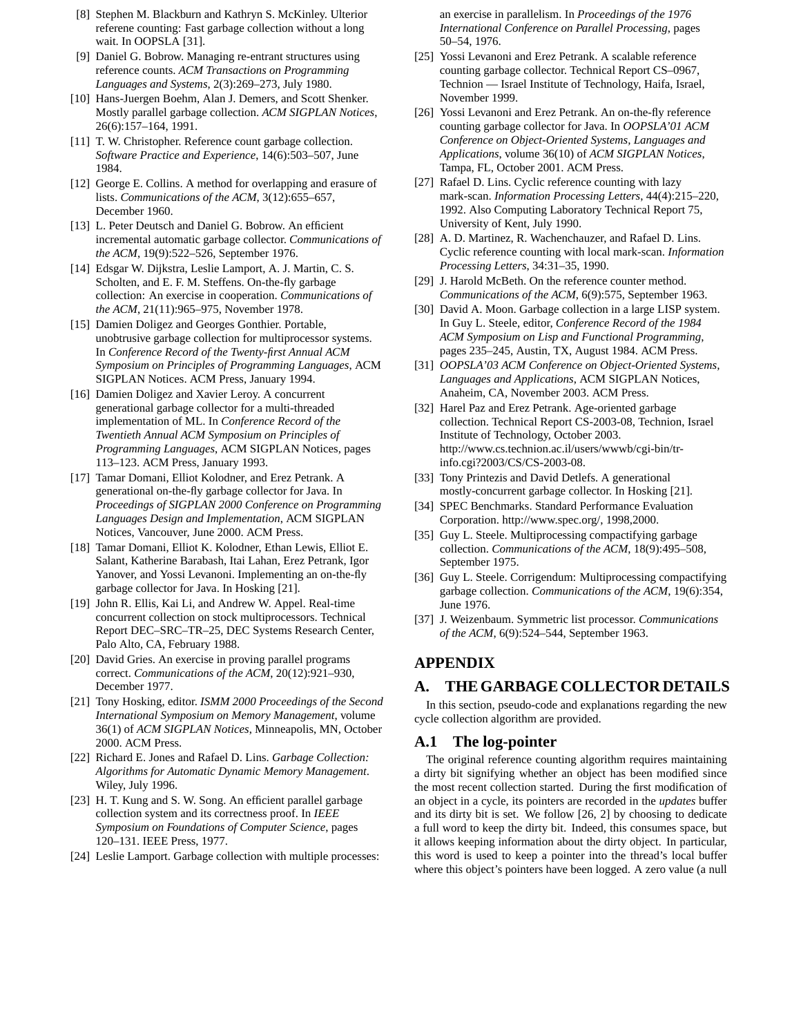- [8] Stephen M. Blackburn and Kathryn S. McKinley. Ulterior referene counting: Fast garbage collection without a long wait. In OOPSLA [31].
- [9] Daniel G. Bobrow. Managing re-entrant structures using reference counts. *ACM Transactions on Programming Languages and Systems*, 2(3):269–273, July 1980.
- [10] Hans-Juergen Boehm, Alan J. Demers, and Scott Shenker. Mostly parallel garbage collection. *ACM SIGPLAN Notices*, 26(6):157–164, 1991.
- [11] T. W. Christopher. Reference count garbage collection. *Software Practice and Experience*, 14(6):503–507, June 1984.
- [12] George E. Collins. A method for overlapping and erasure of lists. *Communications of the ACM*, 3(12):655–657, December 1960.
- [13] L. Peter Deutsch and Daniel G. Bobrow. An efficient incremental automatic garbage collector. *Communications of the ACM*, 19(9):522–526, September 1976.
- [14] Edsgar W. Dijkstra, Leslie Lamport, A. J. Martin, C. S. Scholten, and E. F. M. Steffens. On-the-fly garbage collection: An exercise in cooperation. *Communications of the ACM*, 21(11):965–975, November 1978.
- [15] Damien Doligez and Georges Gonthier. Portable, unobtrusive garbage collection for multiprocessor systems. In *Conference Record of the Twenty-first Annual ACM Symposium on Principles of Programming Languages*, ACM SIGPLAN Notices. ACM Press, January 1994.
- [16] Damien Doligez and Xavier Leroy. A concurrent generational garbage collector for a multi-threaded implementation of ML. In *Conference Record of the Twentieth Annual ACM Symposium on Principles of Programming Languages*, ACM SIGPLAN Notices, pages 113–123. ACM Press, January 1993.
- [17] Tamar Domani, Elliot Kolodner, and Erez Petrank. A generational on-the-fly garbage collector for Java. In *Proceedings of SIGPLAN 2000 Conference on Programming Languages Design and Implementation*, ACM SIGPLAN Notices, Vancouver, June 2000. ACM Press.
- [18] Tamar Domani, Elliot K. Kolodner, Ethan Lewis, Elliot E. Salant, Katherine Barabash, Itai Lahan, Erez Petrank, Igor Yanover, and Yossi Levanoni. Implementing an on-the-fly garbage collector for Java. In Hosking [21].
- [19] John R. Ellis, Kai Li, and Andrew W. Appel. Real-time concurrent collection on stock multiprocessors. Technical Report DEC–SRC–TR–25, DEC Systems Research Center, Palo Alto, CA, February 1988.
- [20] David Gries. An exercise in proving parallel programs correct. *Communications of the ACM*, 20(12):921–930, December 1977.
- [21] Tony Hosking, editor. *ISMM 2000 Proceedings of the Second International Symposium on Memory Management*, volume 36(1) of *ACM SIGPLAN Notices*, Minneapolis, MN, October 2000. ACM Press.
- [22] Richard E. Jones and Rafael D. Lins. *Garbage Collection: Algorithms for Automatic Dynamic Memory Management*. Wiley, July 1996.
- [23] H. T. Kung and S. W. Song. An efficient parallel garbage collection system and its correctness proof. In *IEEE Symposium on Foundations of Computer Science*, pages 120–131. IEEE Press, 1977.
- [24] Leslie Lamport. Garbage collection with multiple processes:

an exercise in parallelism. In *Proceedings of the 1976 International Conference on Parallel Processing*, pages 50–54, 1976.

- [25] Yossi Levanoni and Erez Petrank. A scalable reference counting garbage collector. Technical Report CS–0967, Technion — Israel Institute of Technology, Haifa, Israel, November 1999.
- [26] Yossi Levanoni and Erez Petrank. An on-the-fly reference counting garbage collector for Java. In *OOPSLA'01 ACM Conference on Object-Oriented Systems, Languages and Applications*, volume 36(10) of *ACM SIGPLAN Notices*, Tampa, FL, October 2001. ACM Press.
- [27] Rafael D. Lins. Cyclic reference counting with lazy mark-scan. *Information Processing Letters*, 44(4):215–220, 1992. Also Computing Laboratory Technical Report 75, University of Kent, July 1990.
- [28] A. D. Martinez, R. Wachenchauzer, and Rafael D. Lins. Cyclic reference counting with local mark-scan. *Information Processing Letters*, 34:31–35, 1990.
- [29] J. Harold McBeth. On the reference counter method. *Communications of the ACM*, 6(9):575, September 1963.
- [30] David A. Moon. Garbage collection in a large LISP system. In Guy L. Steele, editor, *Conference Record of the 1984 ACM Symposium on Lisp and Functional Programming*, pages 235–245, Austin, TX, August 1984. ACM Press.
- [31] *OOPSLA'03 ACM Conference on Object-Oriented Systems, Languages and Applications*, ACM SIGPLAN Notices, Anaheim, CA, November 2003. ACM Press.
- [32] Harel Paz and Erez Petrank. Age-oriented garbage collection. Technical Report CS-2003-08, Technion, Israel Institute of Technology, October 2003. http://www.cs.technion.ac.il/users/wwwb/cgi-bin/trinfo.cgi?2003/CS/CS-2003-08.
- [33] Tony Printezis and David Detlefs. A generational mostly-concurrent garbage collector. In Hosking [21].
- [34] SPEC Benchmarks. Standard Performance Evaluation Corporation. http://www.spec.org/, 1998,2000.
- [35] Guy L. Steele. Multiprocessing compactifying garbage collection. *Communications of the ACM*, 18(9):495–508, September 1975.
- [36] Guy L. Steele. Corrigendum: Multiprocessing compactifying garbage collection. *Communications of the ACM*, 19(6):354, June 1976.
- [37] J. Weizenbaum. Symmetric list processor. *Communications of the ACM*, 6(9):524–544, September 1963.

# **APPENDIX**

# **A. THE GARBAGE COLLECTOR DETAILS**

In this section, pseudo-code and explanations regarding the new cycle collection algorithm are provided.

# **A.1 The log-pointer**

The original reference counting algorithm requires maintaining a dirty bit signifying whether an object has been modified since the most recent collection started. During the first modification of an object in a cycle, its pointers are recorded in the *updates* buffer and its dirty bit is set. We follow [26, 2] by choosing to dedicate a full word to keep the dirty bit. Indeed, this consumes space, but it allows keeping information about the dirty object. In particular, this word is used to keep a pointer into the thread's local buffer where this object's pointers have been logged. A zero value (a null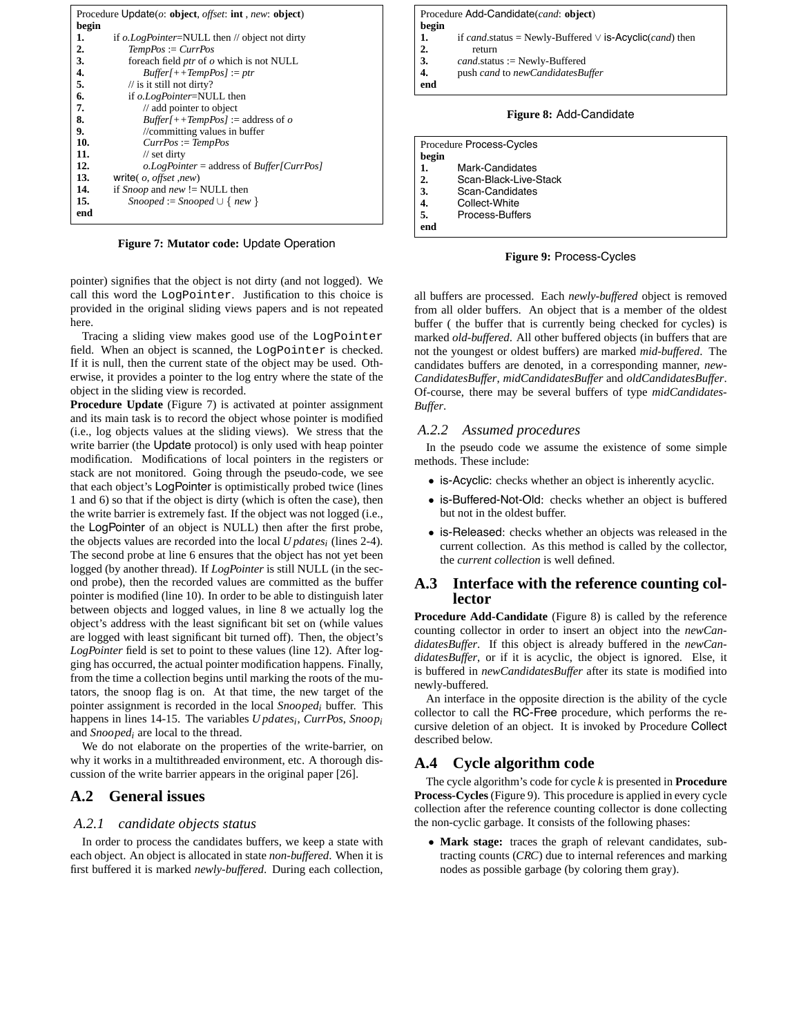| Procedure Update $(o: object, offset: int, new: object)$ |                                               |  |
|----------------------------------------------------------|-----------------------------------------------|--|
| begin                                                    |                                               |  |
| 1.                                                       | if o.LogPointer=NULL then // object not dirty |  |
| 2.                                                       | $TempPos := CurrPos$                          |  |
| 3.                                                       | for each field ptr of $o$ which is not NULL   |  |
| $\frac{4}{5}$                                            | $Buffer[++TempPos] := ptr$                    |  |
|                                                          | $\frac{1}{10}$ is it still not dirty?         |  |
| 6.                                                       | if o.LogPointer=NULL then                     |  |
| 7.                                                       | $\mathcal{U}$ add pointer to object           |  |
| 8.                                                       | $Buffer[++TempPos] := address of o$           |  |
| 9.                                                       | //committing values in buffer                 |  |
| 10.                                                      | $CurrPos := TempPos$                          |  |
| 11.                                                      | $\frac{1}{2}$ set dirty                       |  |
| 12.                                                      | $o. LogPointer = address of Buffer[CurrPos]$  |  |
| 13.                                                      | write( $o$ , <i>offset</i> , <i>new</i> )     |  |
| 14.                                                      | if <i>Snoop</i> and <i>new</i> != NULL then   |  |
| 15.                                                      | Snooped := Snooped $\cup$ { new }             |  |
| end                                                      |                                               |  |

**Figure 7: Mutator code:** Update Operation

pointer) signifies that the object is not dirty (and not logged). We call this word the LogPointer. Justification to this choice is provided in the original sliding views papers and is not repeated here.

Tracing a sliding view makes good use of the LogPointer field. When an object is scanned, the LogPointer is checked. If it is null, then the current state of the object may be used. Otherwise, it provides a pointer to the log entry where the state of the object in the sliding view is recorded.

**Procedure Update** (Figure 7) is activated at pointer assignment and its main task is to record the object whose pointer is modified (i.e., log objects values at the sliding views). We stress that the write barrier (the Update protocol) is only used with heap pointer modification. Modifications of local pointers in the registers or stack are not monitored. Going through the pseudo-code, we see that each object's LogPointer is optimistically probed twice (lines 1 and 6) so that if the object is dirty (which is often the case), then the write barrier is extremely fast. If the object was not logged (i.e., the LogPointer of an object is NULL) then after the first probe, the objects values are recorded into the local  $U$  *pdates<sub>i</sub>* (lines 2-4). The second probe at line 6 ensures that the object has not yet been logged (by another thread). If *LogPointer* is still NULL (in the second probe), then the recorded values are committed as the buffer pointer is modified (line 10). In order to be able to distinguish later between objects and logged values, in line 8 we actually log the object's address with the least significant bit set on (while values are logged with least significant bit turned off). Then, the object's *LogPointer* field is set to point to these values (line 12). After logging has occurred, the actual pointer modification happens. Finally, from the time a collection begins until marking the roots of the mutators, the snoop flag is on. At that time, the new target of the pointer assignment is recorded in the local *Snooped<sub>i</sub>* buffer. This happens in lines 14-15. The variables *U pdatesi*, *CurrPos*, *Snoopi* and *Snoopedi* are local to the thread.

We do not elaborate on the properties of the write-barrier, on why it works in a multithreaded environment, etc. A thorough discussion of the write barrier appears in the original paper [26].

## **A.2 General issues**

#### *A.2.1 candidate objects status*

In order to process the candidates buffers, we keep a state with each object. An object is allocated in state *non-buffered*. When it is first buffered it is marked *newly-buffered*. During each collection,

|                                               | Procedure Add-Candidate(cand: object)                        |  |  |
|-----------------------------------------------|--------------------------------------------------------------|--|--|
| begin                                         |                                                              |  |  |
| $\begin{array}{c} 1. \\ 2. \\ 3. \end{array}$ | if cand status = Newly-Buffered $\vee$ is-Acyclic(cand) then |  |  |
|                                               | return                                                       |  |  |
|                                               | $cand$ .status := Newly-Buffered                             |  |  |
| $\vert$ 4.                                    | push cand to newCandidatesBuffer                             |  |  |
| end                                           |                                                              |  |  |
|                                               |                                                              |  |  |

## **Figure 8:** Add-Candidate

|       | Procedure Process-Cycles |  |  |
|-------|--------------------------|--|--|
| begin |                          |  |  |
| 1.    | Mark-Candidates          |  |  |
| 2.    | Scan-Black-Live-Stack    |  |  |
| 3.    | Scan-Candidates          |  |  |
| 4.    | Collect-White            |  |  |
| 5.    | Process-Buffers          |  |  |
| end   |                          |  |  |

**Figure 9:** Process-Cycles

all buffers are processed. Each *newly-buffered* object is removed from all older buffers. An object that is a member of the oldest buffer ( the buffer that is currently being checked for cycles) is marked *old-buffered*. All other buffered objects (in buffers that are not the youngest or oldest buffers) are marked *mid-buffered*. The candidates buffers are denoted, in a corresponding manner, *new-CandidatesBuffer*, *midCandidatesBuffer* and *oldCandidatesBuffer*. Of-course, there may be several buffers of type *midCandidates-Buffer*.

#### *A.2.2 Assumed procedures*

In the pseudo code we assume the existence of some simple methods. These include:

- is-Acyclic: checks whether an object is inherently acyclic.
- is-Buffered-Not-Old: checks whether an object is buffered but not in the oldest buffer.
- is-Released: checks whether an objects was released in the current collection. As this method is called by the collector, the *current collection* is well defined.

## **A.3 Interface with the reference counting collector**

**Procedure Add-Candidate** (Figure 8) is called by the reference counting collector in order to insert an object into the *newCandidatesBuffer*. If this object is already buffered in the *newCandidatesBuffer*, or if it is acyclic, the object is ignored. Else, it is buffered in *newCandidatesBuffer* after its state is modified into newly-buffered.

An interface in the opposite direction is the ability of the cycle collector to call the RC-Free procedure, which performs the recursive deletion of an object. It is invoked by Procedure Collect described below.

# **A.4 Cycle algorithm code**

The cycle algorithm's code for cycle *k* is presented in **Procedure Process-Cycles** (Figure 9). This procedure is applied in every cycle collection after the reference counting collector is done collecting the non-cyclic garbage. It consists of the following phases:

• **Mark stage:** traces the graph of relevant candidates, subtracting counts (*CRC*) due to internal references and marking nodes as possible garbage (by coloring them gray).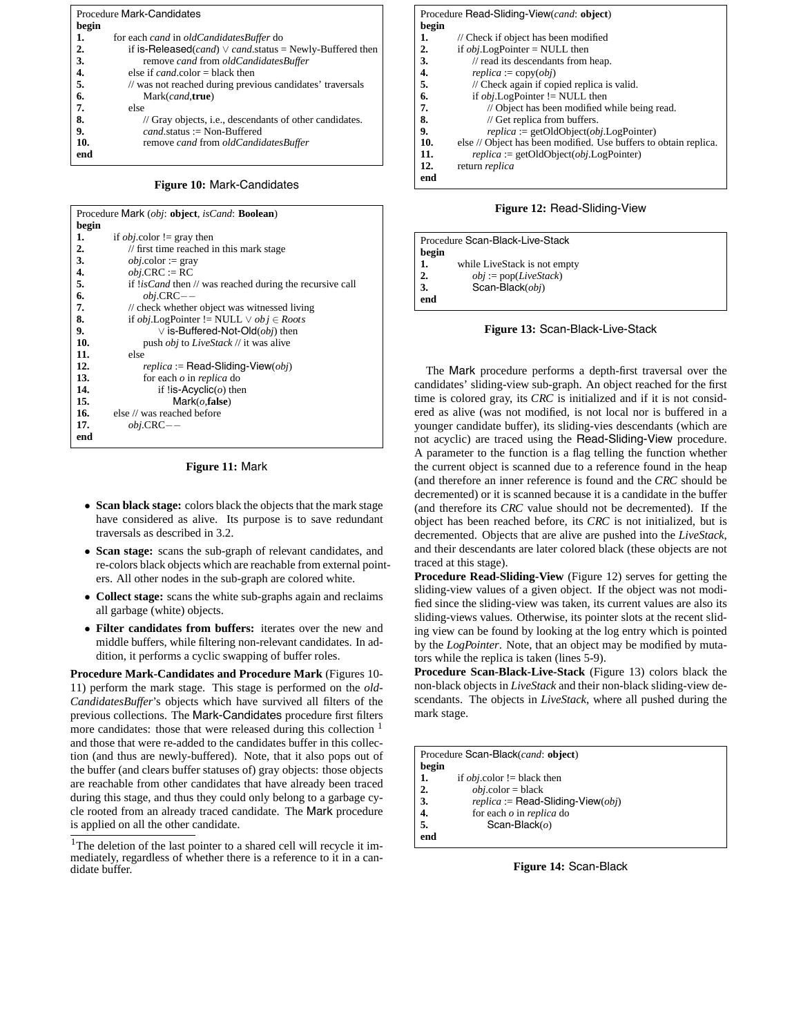| <b>Procedure Mark-Candidates</b> |                                                                               |  |  |
|----------------------------------|-------------------------------------------------------------------------------|--|--|
| begin                            |                                                                               |  |  |
| 1.                               | for each <i>cand</i> in <i>oldCandidatesBuffer</i> do                         |  |  |
| $\overline{2}$                   | if is-Released( <i>cand</i> ) $\vee$ <i>cand.status</i> = Newly-Buffered then |  |  |
| 3.                               | remove cand from oldCandidatesBuffer                                          |  |  |
| 4.                               | else if $cand$ color = black then                                             |  |  |
| $\overline{5}$ .                 | // was not reached during previous candidates' traversals                     |  |  |
| 6.                               | Mark(cand, true)                                                              |  |  |
| 7.                               | else                                                                          |  |  |
| 8.                               | // Gray objects, i.e., descendants of other candidates.                       |  |  |
| 9.                               | $cand$ status := Non-Buffered                                                 |  |  |
| 10.                              | remove cand from oldCandidatesBuffer                                          |  |  |
| end                              |                                                                               |  |  |

**Figure 10:** Mark-Candidates

| Procedure Mark (obj: object, isCand: Boolean) |                                                                                  |  |  |
|-----------------------------------------------|----------------------------------------------------------------------------------|--|--|
| begin                                         |                                                                                  |  |  |
| 1.                                            | if <i>obj</i> .color != gray then                                                |  |  |
| $\overline{2}$ .                              | // first time reached in this mark stage                                         |  |  |
| 3.                                            | <i>obj</i> .color := gray                                                        |  |  |
| 4.                                            | $obj.CRC := RC$                                                                  |  |  |
| 5.                                            | if <i>lisCand</i> then $\text{/} \text{/}$ was reached during the recursive call |  |  |
| 6.                                            | $obj.CRC --$                                                                     |  |  |
| 7.                                            | // check whether object was witnessed living                                     |  |  |
| 8.                                            | if <i>obj</i> .LogPointer != NULL $\vee$ <i>ob</i> $i \in Roots$                 |  |  |
| 9.                                            | $\vee$ is-Buffered-Not-Old( $obj$ ) then                                         |  |  |
| 10.                                           | push <i>obj</i> to <i>LiveStack</i> // it was alive                              |  |  |
| 11.                                           | else                                                                             |  |  |
| 12.                                           | $replica := Read-Sliding-View(obj)$                                              |  |  |
| 13.                                           | for each $o$ in <i>replica</i> do                                                |  |  |
| 14.                                           | if !is-Acyclic( $\omega$ ) then                                                  |  |  |
| 15.                                           | Mark(o, false)                                                                   |  |  |
| 16.                                           | else // was reached before                                                       |  |  |
| 17.                                           | $obj.CRC --$                                                                     |  |  |
| end                                           |                                                                                  |  |  |
|                                               |                                                                                  |  |  |

**Figure 11:** Mark

- **Scan black stage:** colors black the objects that the mark stage have considered as alive. Its purpose is to save redundant traversals as described in 3.2.
- **Scan stage:** scans the sub-graph of relevant candidates, and re-colors black objects which are reachable from external pointers. All other nodes in the sub-graph are colored white.
- **Collect stage:** scans the white sub-graphs again and reclaims all garbage (white) objects.
- **Filter candidates from buffers:** iterates over the new and middle buffers, while filtering non-relevant candidates. In addition, it performs a cyclic swapping of buffer roles.

**Procedure Mark-Candidates and Procedure Mark** (Figures 10- 11) perform the mark stage. This stage is performed on the *old-CandidatesBuffer*'s objects which have survived all filters of the previous collections. The Mark-Candidates procedure first filters more candidates: those that were released during this collection <sup>1</sup> and those that were re-added to the candidates buffer in this collection (and thus are newly-buffered). Note, that it also pops out of the buffer (and clears buffer statuses of) gray objects: those objects are reachable from other candidates that have already been traced during this stage, and thus they could only belong to a garbage cycle rooted from an already traced candidate. The Mark procedure is applied on all the other candidate.

| Procedure Read-Sliding-View(cand: object) |                                                                  |  |
|-------------------------------------------|------------------------------------------------------------------|--|
| begin                                     |                                                                  |  |
| 1.                                        | // Check if object has been modified                             |  |
| 2.                                        | if $obj$ . LogPointer = NULL then                                |  |
| 3.                                        | $\frac{1}{\pi}$ read its descendants from heap.                  |  |
| 4.                                        | $replica := copy(obj)$                                           |  |
| 5.                                        | // Check again if copied replica is valid.                       |  |
| 6.                                        | if <i>obj</i> . LogPointer $!=$ NULL then                        |  |
| 7.                                        | // Object has been modified while being read.                    |  |
| 8.                                        | $\frac{1}{2}$ Get replica from buffers.                          |  |
| 9.                                        | $replica := getOldObject(obj.LogPointer)$                        |  |
| 10.                                       | else // Object has been modified. Use buffers to obtain replica. |  |
| 11.                                       | $replica := getOldObject(obj.LogPointer)$                        |  |
| 12.                                       | return <i>replica</i>                                            |  |
| end                                       |                                                                  |  |
|                                           |                                                                  |  |

**Figure 12:** Read-Sliding-View

| Procedure Scan-Black-Live-Stack |  |  |  |
|---------------------------------|--|--|--|
|                                 |  |  |  |
| while LiveStack is not empty    |  |  |  |
| $obj := pop(LiveStack)$         |  |  |  |
| Scan-Black $(obj)$              |  |  |  |
|                                 |  |  |  |
|                                 |  |  |  |

**Figure 13:** Scan-Black-Live-Stack

The Mark procedure performs a depth-first traversal over the candidates' sliding-view sub-graph. An object reached for the first time is colored gray, its *CRC* is initialized and if it is not considered as alive (was not modified, is not local nor is buffered in a younger candidate buffer), its sliding-vies descendants (which are not acyclic) are traced using the Read-Sliding-View procedure. A parameter to the function is a flag telling the function whether the current object is scanned due to a reference found in the heap (and therefore an inner reference is found and the *CRC* should be decremented) or it is scanned because it is a candidate in the buffer (and therefore its *CRC* value should not be decremented). If the object has been reached before, its *CRC* is not initialized, but is decremented. Objects that are alive are pushed into the *LiveStack*, and their descendants are later colored black (these objects are not traced at this stage).

**Procedure Read-Sliding-View** (Figure 12) serves for getting the sliding-view values of a given object. If the object was not modified since the sliding-view was taken, its current values are also its sliding-views values. Otherwise, its pointer slots at the recent sliding view can be found by looking at the log entry which is pointed by the *LogPointer*. Note, that an object may be modified by mutators while the replica is taken (lines 5-9).

**Procedure Scan-Black-Live-Stack** (Figure 13) colors black the non-black objects in *LiveStack* and their non-black sliding-view descendants. The objects in *LiveStack*, where all pushed during the mark stage.

|       | Procedure Scan-Black(cand: object)  |  |  |
|-------|-------------------------------------|--|--|
| begin |                                     |  |  |
| 1.    | if <i>obj</i> .color != black then  |  |  |
| 2.    | $obj.color = black$                 |  |  |
| 3.    | $replica := Read-Sliding-View(obj)$ |  |  |
| 4.    | for each $o$ in replica do          |  |  |
| 5.    | Scan-Black $(o)$                    |  |  |
| end   |                                     |  |  |
|       |                                     |  |  |

**Figure 14:** Scan-Black

<sup>&</sup>lt;sup>1</sup>The deletion of the last pointer to a shared cell will recycle it immediately, regardless of whether there is a reference to it in a candidate buffer.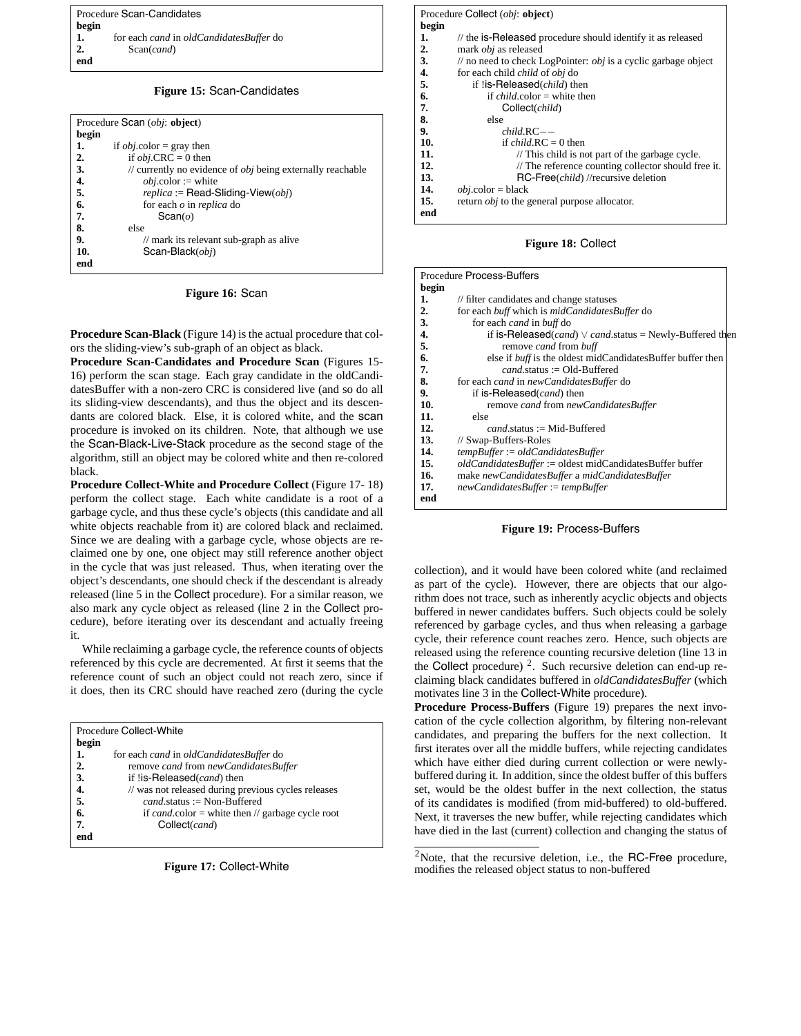| Procedure Scan-Candidates |                                         |  |
|---------------------------|-----------------------------------------|--|
| begin                     |                                         |  |
| 1.                        | for each cand in oldCandidatesBuffer do |  |
| $\overline{2}$ .          | Scan(cand)                              |  |
| end                       |                                         |  |

#### **Figure 15:** Scan-Candidates

| Procedure Scan (obj: object) |                                                              |  |  |
|------------------------------|--------------------------------------------------------------|--|--|
| begin                        |                                                              |  |  |
| 1.                           | if <i>obj</i> .color = gray then                             |  |  |
| 2.                           | if <i>obj</i> .CRC = 0 then                                  |  |  |
| 3.                           | // currently no evidence of $obj$ being externally reachable |  |  |
| $\frac{4}{5}$                | $obj{\rm .color} :=$ white                                   |  |  |
|                              | $replica := Read-Sliding-View(obj)$                          |  |  |
| 6.                           | for each $o$ in <i>replica</i> do                            |  |  |
| 7.                           | Scan(o)                                                      |  |  |
| 8.                           | else                                                         |  |  |
| 9.                           | // mark its relevant sub-graph as alive                      |  |  |
| 10.                          | Scan-Black(obi)                                              |  |  |
| end                          |                                                              |  |  |

#### **Figure 16:** Scan

**Procedure Scan-Black** (Figure 14) is the actual procedure that colors the sliding-view's sub-graph of an object as black.

**Procedure Scan-Candidates and Procedure Scan** (Figures 15- 16) perform the scan stage. Each gray candidate in the oldCandidatesBuffer with a non-zero CRC is considered live (and so do all its sliding-view descendants), and thus the object and its descendants are colored black. Else, it is colored white, and the scan procedure is invoked on its children. Note, that although we use the Scan-Black-Live-Stack procedure as the second stage of the algorithm, still an object may be colored white and then re-colored black.

**Procedure Collect-White and Procedure Collect** (Figure 17- 18) perform the collect stage. Each white candidate is a root of a garbage cycle, and thus these cycle's objects (this candidate and all white objects reachable from it) are colored black and reclaimed. Since we are dealing with a garbage cycle, whose objects are reclaimed one by one, one object may still reference another object in the cycle that was just released. Thus, when iterating over the object's descendants, one should check if the descendant is already released (line 5 in the Collect procedure). For a similar reason, we also mark any cycle object as released (line 2 in the Collect procedure), before iterating over its descendant and actually freeing it.

While reclaiming a garbage cycle, the reference counts of objects referenced by this cycle are decremented. At first it seems that the reference count of such an object could not reach zero, since if it does, then its CRC should have reached zero (during the cycle

|               | Procedure Collect-White                               |  |  |  |
|---------------|-------------------------------------------------------|--|--|--|
| begin         |                                                       |  |  |  |
| 1.            | for each <i>cand</i> in <i>oldCandidatesBuffer</i> do |  |  |  |
| 2.            | remove cand from newCandidatesBuffer                  |  |  |  |
| 3.            | if !is-Released(cand) then                            |  |  |  |
| $\frac{4}{5}$ | // was not released during previous cycles releases   |  |  |  |
|               | $cand$ status := Non-Buffered                         |  |  |  |
| 6.            | if cand.color = white then $\pi$ garbage cycle root   |  |  |  |
| 7.            | Collect(cand)                                         |  |  |  |
| end           |                                                       |  |  |  |



|       | Procedure Collect ( <i>obi</i> : <b>object</b> )                          |
|-------|---------------------------------------------------------------------------|
| begin |                                                                           |
| 1.    | // the is-Released procedure should identify it as released               |
| 2.    | mark <i>obj</i> as released                                               |
| 3.    | $\ell$ no need to check LogPointer: <i>obj</i> is a cyclic garbage object |
| 4.    | for each child <i>child</i> of <i>obj</i> do                              |
| 5.    | if !is-Released( <i>child</i> ) then                                      |
| 6.    | if <i>child</i> color = white then                                        |
| 7.    | Collect(child)                                                            |
| 8.    | else                                                                      |
| 9.    | $child$ <sub>--</sub>                                                     |
| 10.   | if <i>child</i> $RC = 0$ then                                             |
| 11.   | $\frac{1}{2}$ This child is not part of the garbage cycle.                |
| 12.   | // The reference counting collector should free it.                       |
| 13.   | RC-Free( <i>child</i> ) //recursive deletion                              |
| 14.   | $obj.color = black$                                                       |
| 15.   | return <i>obj</i> to the general purpose allocator.                       |
| end   |                                                                           |

**Figure 18:** Collect

| <b>Procedure Process-Buffers</b> |                                                                                |  |  |
|----------------------------------|--------------------------------------------------------------------------------|--|--|
| begin                            |                                                                                |  |  |
| 1.                               | // filter candidates and change statuses                                       |  |  |
| 2.                               | for each buff which is midCandidatesBuffer do                                  |  |  |
| 3.                               | for each <i>cand</i> in <i>buff</i> do                                         |  |  |
| 4.                               | if is-Released( <i>cand</i> ) $\vee$ <i>cand.</i> status = Newly-Buffered then |  |  |
| 5.                               | remove <i>cand</i> from <i>buff</i>                                            |  |  |
| 6.                               | else if <i>buff</i> is the oldest midCandidatesBuffer buffer then              |  |  |
| 7.                               | $cand$ status := Old-Buffered                                                  |  |  |
| 8.                               | for each <i>cand</i> in <i>newCandidatesBuffer</i> do                          |  |  |
| 9.                               | if is-Released(cand) then                                                      |  |  |
| 10.                              | remove cand from newCandidatesBuffer                                           |  |  |
| 11.                              | else                                                                           |  |  |
| 12.                              | $cand$ status := Mid-Buffered                                                  |  |  |
| 13.                              | // Swap-Buffers-Roles                                                          |  |  |
| 14.                              | $tempBuffer := oldC and idatesBuffer$                                          |  |  |
| 15.                              | oldCandidatesBuffer := oldest midCandidatesBuffer buffer                       |  |  |
| 16.                              | make newCandidatesBuffer a midCandidatesBuffer                                 |  |  |
| 17.                              | newCandidatesBuffer := tempBuffer                                              |  |  |
| end                              |                                                                                |  |  |



collection), and it would have been colored white (and reclaimed as part of the cycle). However, there are objects that our algorithm does not trace, such as inherently acyclic objects and objects buffered in newer candidates buffers. Such objects could be solely referenced by garbage cycles, and thus when releasing a garbage cycle, their reference count reaches zero. Hence, such objects are released using the reference counting recursive deletion (line 13 in the Collect procedure)  $^2$ . Such recursive deletion can end-up reclaiming black candidates buffered in *oldCandidatesBuffer* (which motivates line 3 in the Collect-White procedure).

**Procedure Process-Buffers** (Figure 19) prepares the next invocation of the cycle collection algorithm, by filtering non-relevant candidates, and preparing the buffers for the next collection. It first iterates over all the middle buffers, while rejecting candidates which have either died during current collection or were newlybuffered during it. In addition, since the oldest buffer of this buffers set, would be the oldest buffer in the next collection, the status of its candidates is modified (from mid-buffered) to old-buffered. Next, it traverses the new buffer, while rejecting candidates which have died in the last (current) collection and changing the status of

 $2$ Note, that the recursive deletion, i.e., the RC-Free procedure, modifies the released object status to non-buffered